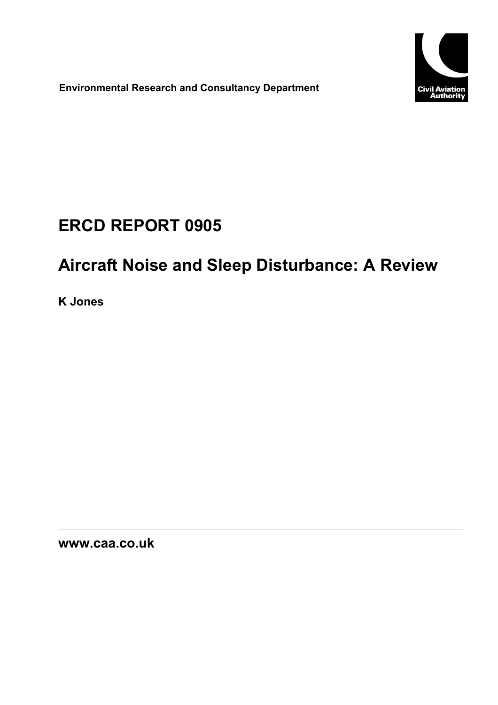**Environmental Research and Consultancy Department**



# **ERCD REPORT 0905**

# **Aircraft Noise and Sleep Disturbance: A Review**

**K Jones**

**www.caa.co.uk**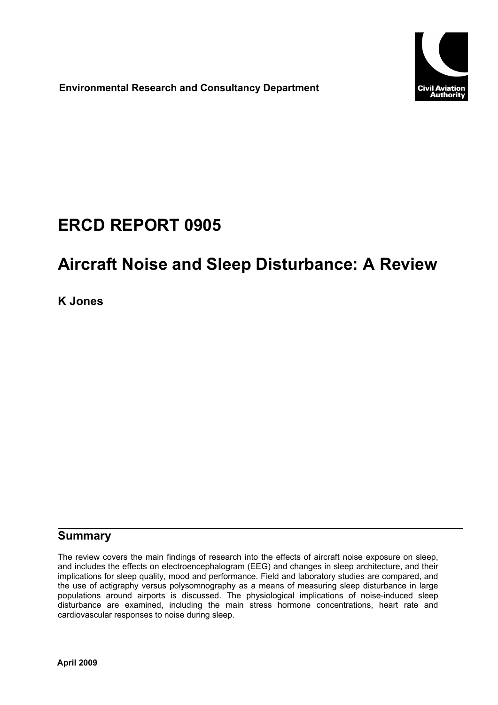**Environmental Research and Consultancy Department**



# **ERCD REPORT 0905**

# **Aircraft Noise and Sleep Disturbance: A Review**

**K Jones** 

# **Summary**

The review covers the main findings of research into the effects of aircraft noise exposure on sleep, and includes the effects on electroencephalogram (EEG) and changes in sleep architecture, and their implications for sleep quality, mood and performance. Field and laboratory studies are compared, and the use of actigraphy versus polysomnography as a means of measuring sleep disturbance in large populations around airports is discussed. The physiological implications of noise-induced sleep disturbance are examined, including the main stress hormone concentrations, heart rate and cardiovascular responses to noise during sleep.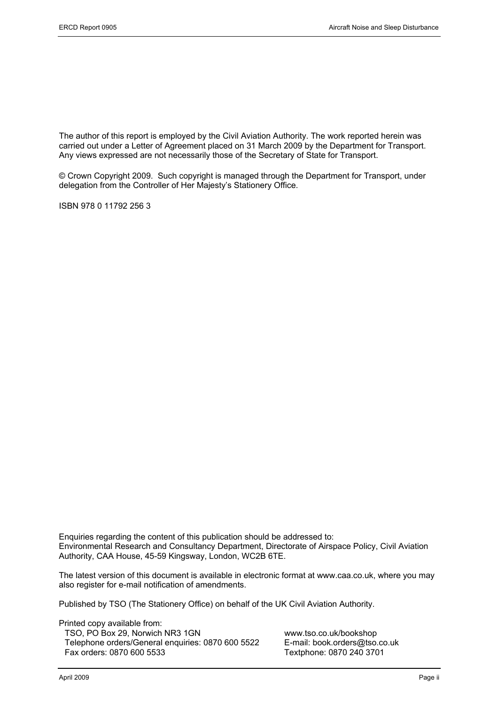The author of this report is employed by the Civil Aviation Authority. The work reported herein was carried out under a Letter of Agreement placed on 31 March 2009 by the Department for Transport. Any views expressed are not necessarily those of the Secretary of State for Transport.

© Crown Copyright 2009. Such copyright is managed through the Department for Transport, under delegation from the Controller of Her Majesty's Stationery Office.

ISBN 978 0 11792 256 3

Enquiries regarding the content of this publication should be addressed to: Environmental Research and Consultancy Department, Directorate of Airspace Policy, Civil Aviation Authority, CAA House, 45-59 Kingsway, London, WC2B 6TE.

The latest version of this document is available in electronic format at www.caa.co.uk, where you may also register for e-mail notification of amendments.

Published by TSO (The Stationery Office) on behalf of the UK Civil Aviation Authority.

Printed copy available from:

TSO, PO Box 29, Norwich NR3 1GN www.tso.co.uk/bookshop Telephone orders/General enquiries: 0870 600 5522 E-mail: book.orders@tso.co.uk Fax orders: 0870 600 5533 Textphone: 0870 240 3701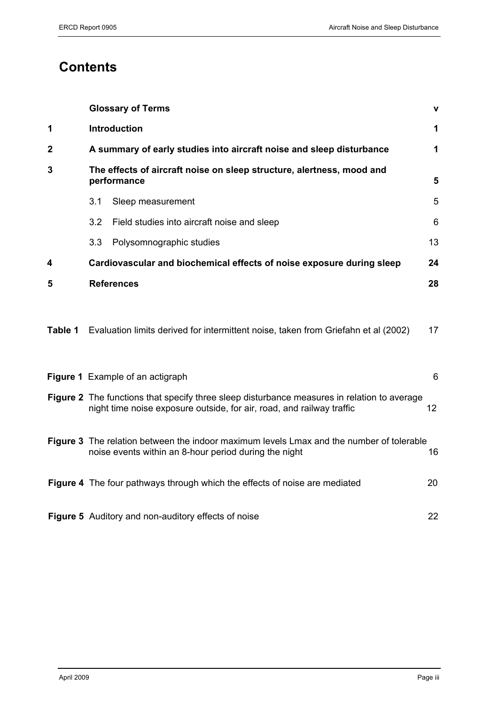# **Contents**

|             | <b>Glossary of Terms</b><br>$\mathbf v$                                                                                                                              |                 |  |  |  |
|-------------|----------------------------------------------------------------------------------------------------------------------------------------------------------------------|-----------------|--|--|--|
| 1           | Introduction<br>1                                                                                                                                                    |                 |  |  |  |
| $\mathbf 2$ | A summary of early studies into aircraft noise and sleep disturbance<br>1                                                                                            |                 |  |  |  |
| 3           | The effects of aircraft noise on sleep structure, alertness, mood and<br>performance                                                                                 |                 |  |  |  |
|             | 3.1<br>Sleep measurement                                                                                                                                             | 5               |  |  |  |
|             | 3.2<br>Field studies into aircraft noise and sleep                                                                                                                   | 6               |  |  |  |
|             | 3.3<br>Polysomnographic studies                                                                                                                                      | 13              |  |  |  |
| 4           | Cardiovascular and biochemical effects of noise exposure during sleep                                                                                                | 24              |  |  |  |
| 5           | <b>References</b>                                                                                                                                                    | 28              |  |  |  |
| Table 1     | Evaluation limits derived for intermittent noise, taken from Griefahn et al (2002)                                                                                   | 17              |  |  |  |
|             | Figure 1 Example of an actigraph                                                                                                                                     | 6               |  |  |  |
|             | Figure 2 The functions that specify three sleep disturbance measures in relation to average<br>night time noise exposure outside, for air, road, and railway traffic | 12 <sub>2</sub> |  |  |  |
|             | Figure 3 The relation between the indoor maximum levels Lmax and the number of tolerable<br>noise events within an 8-hour period during the night                    | 16              |  |  |  |
|             | Figure 4 The four pathways through which the effects of noise are mediated                                                                                           | 20              |  |  |  |
|             | Figure 5 Auditory and non-auditory effects of noise                                                                                                                  | 22              |  |  |  |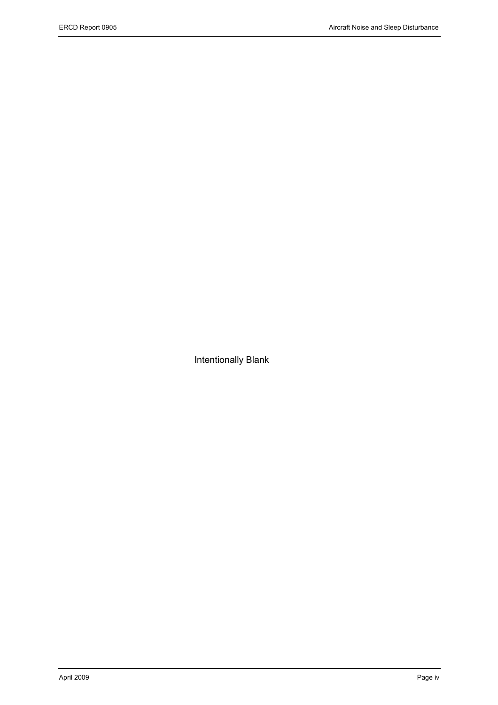Intentionally Blank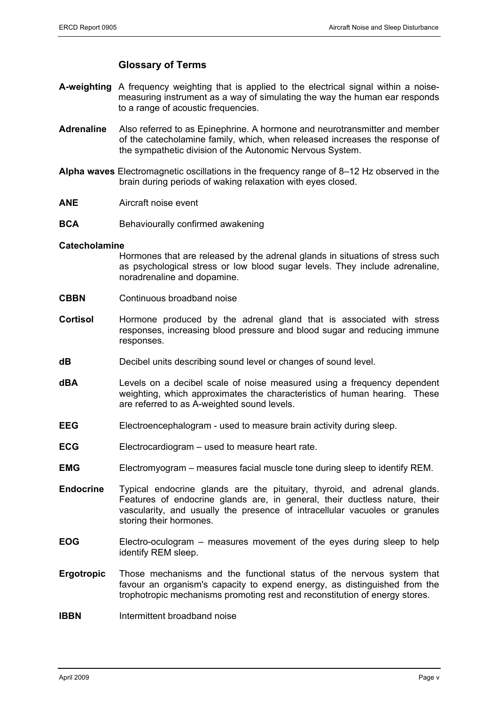#### **Glossary of Terms**

- **A-weighting** A frequency weighting that is applied to the electrical signal within a noisemeasuring instrument as a way of simulating the way the human ear responds to a range of acoustic frequencies.
- **Adrenaline** Also referred to as Epinephrine. A hormone and neurotransmitter and member of the catecholamine family, which, when released increases the response of the sympathetic division of the Autonomic Nervous System.
- **Alpha waves** Electromagnetic oscillations in the frequency range of 8–12 Hz observed in the brain during periods of waking relaxation with eyes closed.
- **ANE** Aircraft noise event
- **BCA** Behaviourally confirmed awakening

#### **Catecholamine**

Hormones that are released by the adrenal glands in situations of stress such as psychological stress or low blood sugar levels. They include adrenaline, noradrenaline and dopamine.

- **CBBN** Continuous broadband noise
- **Cortisol** Hormone produced by the adrenal gland that is associated with stress responses, increasing blood pressure and blood sugar and reducing immune responses.
- **dB** Decibel units describing sound level or changes of sound level.
- **dBA** Levels on a decibel scale of noise measured using a frequency dependent weighting, which approximates the characteristics of human hearing. These are referred to as A-weighted sound levels.
- **EEG** Electroencephalogram used to measure brain activity during sleep.
- **ECG** Electrocardiogram used to measure heart rate.
- **EMG** Electromyogram measures facial muscle tone during sleep to identify REM.
- **Endocrine** Typical endocrine glands are the pituitary, thyroid, and adrenal glands. Features of endocrine glands are, in general, their ductless nature, their vascularity, and usually the presence of intracellular vacuoles or granules storing their hormones.
- **EOG** Electro-oculogram measures movement of the eyes during sleep to help identify REM sleep.
- **Ergotropic** Those mechanisms and the functional status of the nervous system that favour an organism's capacity to expend energy, as distinguished from the trophotropic mechanisms promoting rest and reconstitution of energy stores.
- **IBBN Intermittent broadband noise**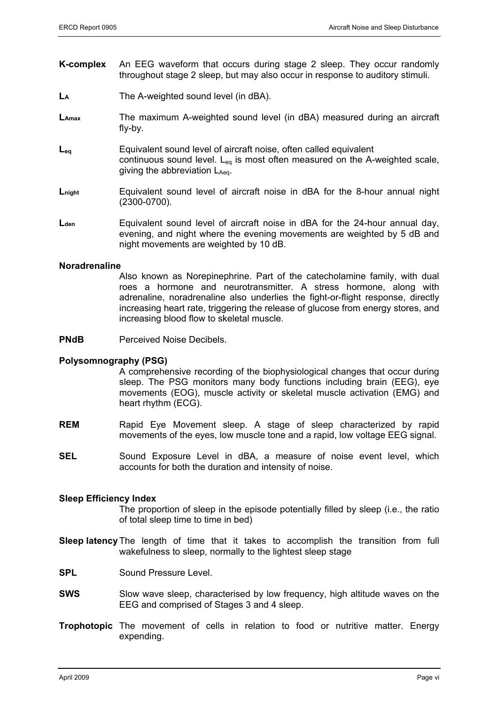- **K-complex** An EEG waveform that occurs during stage 2 sleep. They occur randomly throughout stage 2 sleep, but may also occur in response to auditory stimuli.
- **LA** The A-weighted sound level (in dBA).
- **LAmax** The maximum A-weighted sound level (in dBA) measured during an aircraft fly-by.
- **Leq** Equivalent sound level of aircraft noise, often called equivalent continuous sound level.  $L_{eq}$  is most often measured on the A-weighted scale, giving the abbreviation  $L_{Aeq}$ .
- **Lnight** Equivalent sound level of aircraft noise in dBA for the 8-hour annual night (2300-0700).
- Lden **Equivalent sound level of aircraft noise in dBA for the 24-hour annual day,** evening, and night where the evening movements are weighted by 5 dB and night movements are weighted by 10 dB.

#### **Noradrenaline**

Also known as Norepinephrine. Part of the catecholamine family, with dual roes a hormone and neurotransmitter. A stress hormone, along with adrenaline, noradrenaline also underlies the fight-or-flight response, directly increasing heart rate, triggering the release of glucose from energy stores, and increasing blood flow to skeletal muscle.

**PNdB** Perceived Noise Decibels.

#### **Polysomnography (PSG)**

A comprehensive recording of the biophysiological changes that occur during sleep. The PSG monitors many body functions including brain (EEG), eye movements (EOG), muscle activity or skeletal muscle activation (EMG) and heart rhythm (ECG).

- **REM** Rapid Eye Movement sleep. A stage of sleep characterized by rapid movements of the eyes, low muscle tone and a rapid, low voltage EEG signal.
- **SEL** Sound Exposure Level in dBA, a measure of noise event level, which accounts for both the duration and intensity of noise.

#### **Sleep Efficiency Index**

The proportion of sleep in the episode potentially filled by sleep (i.e., the ratio of total sleep time to time in bed)

- **Sleep latency** The length of time that it takes to accomplish the transition from full wakefulness to sleep, normally to the lightest sleep stage
- **SPL** Sound Pressure Level.
- **SWS** Slow wave sleep, characterised by low frequency, high altitude waves on the EEG and comprised of Stages 3 and 4 sleep.
- **Trophotopic** The movement of cells in relation to food or nutritive matter. Energy expending.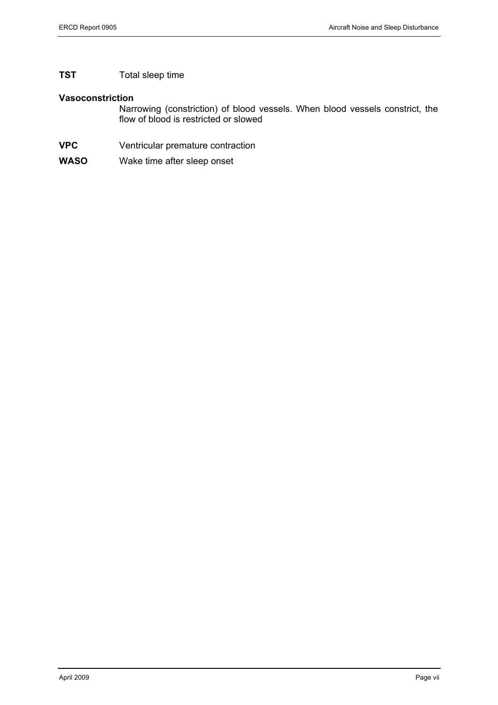# **TST** Total sleep time

#### **Vasoconstriction**

Narrowing (constriction) of blood vessels. When blood vessels constrict, the flow of blood is restricted or slowed

- **VPC** Ventricular premature contraction
- **WASO** Wake time after sleep onset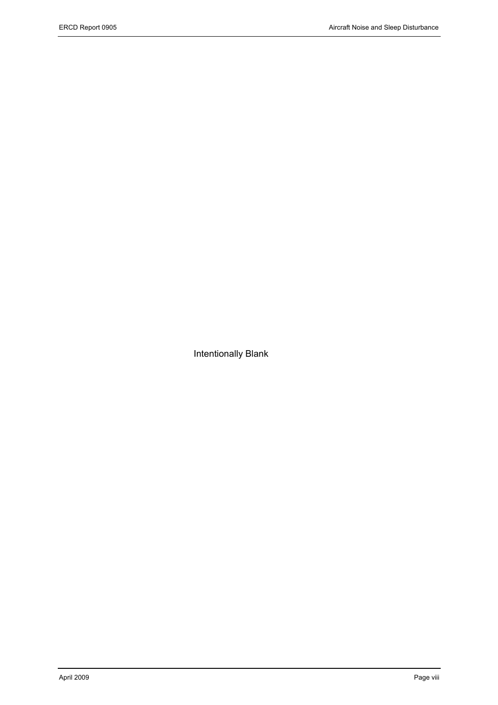Intentionally Blank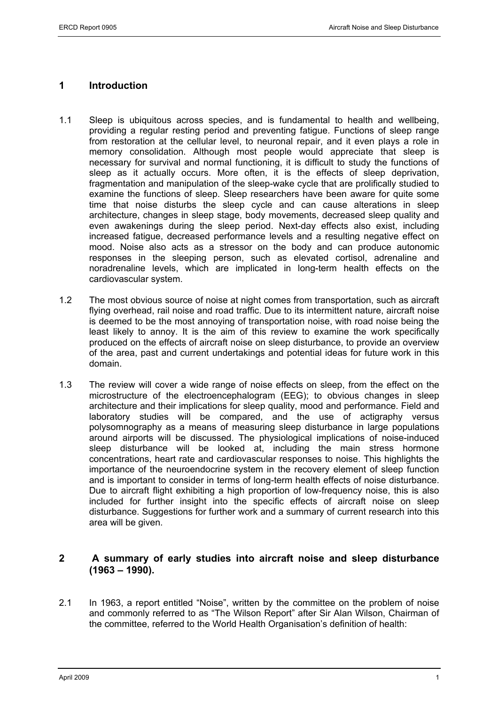# **1 Introduction**

- 1.1 Sleep is ubiquitous across species, and is fundamental to health and wellbeing, providing a regular resting period and preventing fatigue. Functions of sleep range from restoration at the cellular level, to neuronal repair, and it even plays a role in memory consolidation. Although most people would appreciate that sleep is necessary for survival and normal functioning, it is difficult to study the functions of sleep as it actually occurs. More often, it is the effects of sleep deprivation, fragmentation and manipulation of the sleep-wake cycle that are prolifically studied to examine the functions of sleep. Sleep researchers have been aware for quite some time that noise disturbs the sleep cycle and can cause alterations in sleep architecture, changes in sleep stage, body movements, decreased sleep quality and even awakenings during the sleep period. Next-day effects also exist, including increased fatigue, decreased performance levels and a resulting negative effect on mood. Noise also acts as a stressor on the body and can produce autonomic responses in the sleeping person, such as elevated cortisol, adrenaline and noradrenaline levels, which are implicated in long-term health effects on the cardiovascular system.
- 1.2 The most obvious source of noise at night comes from transportation, such as aircraft flying overhead, rail noise and road traffic. Due to its intermittent nature, aircraft noise is deemed to be the most annoying of transportation noise, with road noise being the least likely to annoy. It is the aim of this review to examine the work specifically produced on the effects of aircraft noise on sleep disturbance, to provide an overview of the area, past and current undertakings and potential ideas for future work in this domain.
- 1.3 The review will cover a wide range of noise effects on sleep, from the effect on the microstructure of the electroencephalogram (EEG); to obvious changes in sleep architecture and their implications for sleep quality, mood and performance. Field and laboratory studies will be compared, and the use of actigraphy versus polysomnography as a means of measuring sleep disturbance in large populations around airports will be discussed. The physiological implications of noise-induced sleep disturbance will be looked at, including the main stress hormone concentrations, heart rate and cardiovascular responses to noise. This highlights the importance of the neuroendocrine system in the recovery element of sleep function and is important to consider in terms of long-term health effects of noise disturbance. Due to aircraft flight exhibiting a high proportion of low-frequency noise, this is also included for further insight into the specific effects of aircraft noise on sleep disturbance. Suggestions for further work and a summary of current research into this area will be given.

# **2 A summary of early studies into aircraft noise and sleep disturbance (1963 – 1990).**

2.1 In 1963, a report entitled "Noise", written by the committee on the problem of noise and commonly referred to as "The Wilson Report" after Sir Alan Wilson, Chairman of the committee, referred to the World Health Organisation's definition of health: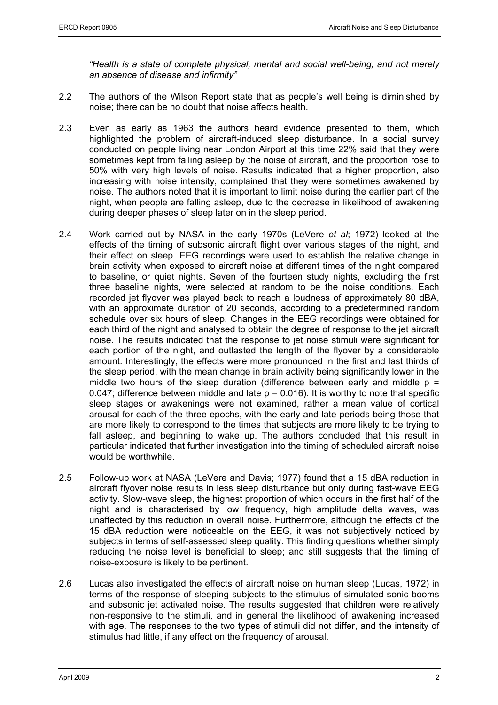*"Health is a state of complete physical, mental and social well-being, and not merely an absence of disease and infirmity"* 

- 2.2 The authors of the Wilson Report state that as people's well being is diminished by noise; there can be no doubt that noise affects health.
- 2.3 Even as early as 1963 the authors heard evidence presented to them, which highlighted the problem of aircraft-induced sleep disturbance. In a social survey conducted on people living near London Airport at this time 22% said that they were sometimes kept from falling asleep by the noise of aircraft, and the proportion rose to 50% with very high levels of noise. Results indicated that a higher proportion, also increasing with noise intensity, complained that they were sometimes awakened by noise. The authors noted that it is important to limit noise during the earlier part of the night, when people are falling asleep, due to the decrease in likelihood of awakening during deeper phases of sleep later on in the sleep period.
- 2.4 Work carried out by NASA in the early 1970s (LeVere *et al*; 1972) looked at the effects of the timing of subsonic aircraft flight over various stages of the night, and their effect on sleep. EEG recordings were used to establish the relative change in brain activity when exposed to aircraft noise at different times of the night compared to baseline, or quiet nights. Seven of the fourteen study nights, excluding the first three baseline nights, were selected at random to be the noise conditions. Each recorded jet flyover was played back to reach a loudness of approximately 80 dBA, with an approximate duration of 20 seconds, according to a predetermined random schedule over six hours of sleep. Changes in the EEG recordings were obtained for each third of the night and analysed to obtain the degree of response to the jet aircraft noise. The results indicated that the response to jet noise stimuli were significant for each portion of the night, and outlasted the length of the flyover by a considerable amount. Interestingly, the effects were more pronounced in the first and last thirds of the sleep period, with the mean change in brain activity being significantly lower in the middle two hours of the sleep duration (difference between early and middle  $p =$ 0.047; difference between middle and late  $p = 0.016$ ). It is worthy to note that specific sleep stages or awakenings were not examined, rather a mean value of cortical arousal for each of the three epochs, with the early and late periods being those that are more likely to correspond to the times that subjects are more likely to be trying to fall asleep, and beginning to wake up. The authors concluded that this result in particular indicated that further investigation into the timing of scheduled aircraft noise would be worthwhile.
- 2.5 Follow-up work at NASA (LeVere and Davis; 1977) found that a 15 dBA reduction in aircraft flyover noise results in less sleep disturbance but only during fast-wave EEG activity. Slow-wave sleep, the highest proportion of which occurs in the first half of the night and is characterised by low frequency, high amplitude delta waves, was unaffected by this reduction in overall noise. Furthermore, although the effects of the 15 dBA reduction were noticeable on the EEG, it was not subjectively noticed by subjects in terms of self-assessed sleep quality. This finding questions whether simply reducing the noise level is beneficial to sleep; and still suggests that the timing of noise-exposure is likely to be pertinent.
- 2.6 Lucas also investigated the effects of aircraft noise on human sleep (Lucas, 1972) in terms of the response of sleeping subjects to the stimulus of simulated sonic booms and subsonic jet activated noise. The results suggested that children were relatively non-responsive to the stimuli, and in general the likelihood of awakening increased with age. The responses to the two types of stimuli did not differ, and the intensity of stimulus had little, if any effect on the frequency of arousal.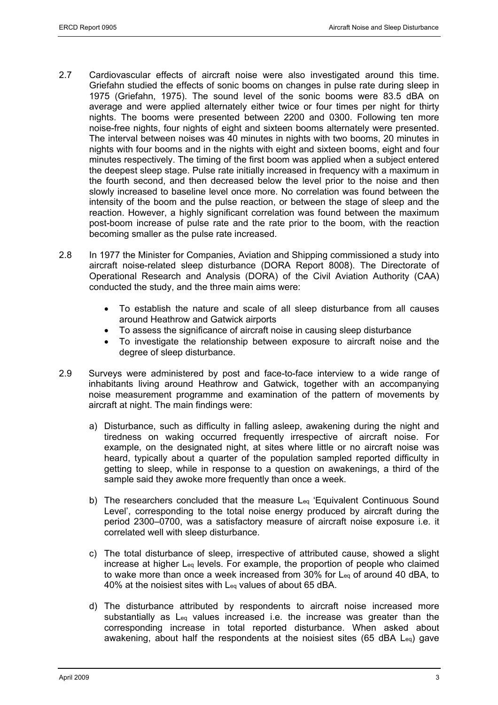- 2.7 Cardiovascular effects of aircraft noise were also investigated around this time. Griefahn studied the effects of sonic booms on changes in pulse rate during sleep in 1975 (Griefahn, 1975). The sound level of the sonic booms were 83.5 dBA on average and were applied alternately either twice or four times per night for thirty nights. The booms were presented between 2200 and 0300. Following ten more noise-free nights, four nights of eight and sixteen booms alternately were presented. The interval between noises was 40 minutes in nights with two booms, 20 minutes in nights with four booms and in the nights with eight and sixteen booms, eight and four minutes respectively. The timing of the first boom was applied when a subject entered the deepest sleep stage. Pulse rate initially increased in frequency with a maximum in the fourth second, and then decreased below the level prior to the noise and then slowly increased to baseline level once more. No correlation was found between the intensity of the boom and the pulse reaction, or between the stage of sleep and the reaction. However, a highly significant correlation was found between the maximum post-boom increase of pulse rate and the rate prior to the boom, with the reaction becoming smaller as the pulse rate increased.
- 2.8 In 1977 the Minister for Companies, Aviation and Shipping commissioned a study into aircraft noise-related sleep disturbance (DORA Report 8008). The Directorate of Operational Research and Analysis (DORA) of the Civil Aviation Authority (CAA) conducted the study, and the three main aims were:
	- To establish the nature and scale of all sleep disturbance from all causes around Heathrow and Gatwick airports
	- To assess the significance of aircraft noise in causing sleep disturbance
	- To investigate the relationship between exposure to aircraft noise and the degree of sleep disturbance.
- 2.9 Surveys were administered by post and face-to-face interview to a wide range of inhabitants living around Heathrow and Gatwick, together with an accompanying noise measurement programme and examination of the pattern of movements by aircraft at night. The main findings were:
	- a) Disturbance, such as difficulty in falling asleep, awakening during the night and tiredness on waking occurred frequently irrespective of aircraft noise. For example, on the designated night, at sites where little or no aircraft noise was heard, typically about a quarter of the population sampled reported difficulty in getting to sleep, while in response to a question on awakenings, a third of the sample said they awoke more frequently than once a week.
	- b) The researchers concluded that the measure Leg 'Equivalent Continuous Sound Level', corresponding to the total noise energy produced by aircraft during the period 2300–0700, was a satisfactory measure of aircraft noise exposure i.e. it correlated well with sleep disturbance.
	- c) The total disturbance of sleep, irrespective of attributed cause, showed a slight increase at higher Leq levels. For example, the proportion of people who claimed to wake more than once a week increased from 30% for Leq of around 40 dBA, to 40% at the noisiest sites with Leq values of about 65 dBA.
	- d) The disturbance attributed by respondents to aircraft noise increased more substantially as Leq values increased i.e. the increase was greater than the corresponding increase in total reported disturbance. When asked about awakening, about half the respondents at the noisiest sites (65 dBA Leq) gave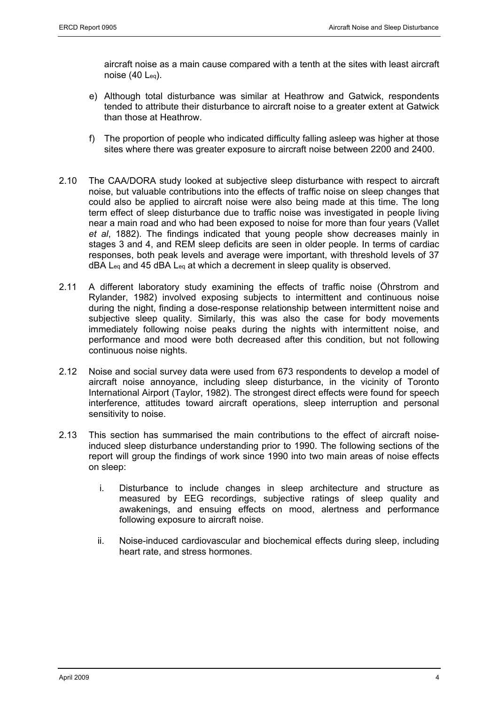aircraft noise as a main cause compared with a tenth at the sites with least aircraft noise (40 Leq).

- e) Although total disturbance was similar at Heathrow and Gatwick, respondents tended to attribute their disturbance to aircraft noise to a greater extent at Gatwick than those at Heathrow.
- f) The proportion of people who indicated difficulty falling asleep was higher at those sites where there was greater exposure to aircraft noise between 2200 and 2400.
- 2.10 The CAA/DORA study looked at subjective sleep disturbance with respect to aircraft noise, but valuable contributions into the effects of traffic noise on sleep changes that could also be applied to aircraft noise were also being made at this time. The long term effect of sleep disturbance due to traffic noise was investigated in people living near a main road and who had been exposed to noise for more than four years (Vallet *et al*, 1882). The findings indicated that young people show decreases mainly in stages 3 and 4, and REM sleep deficits are seen in older people. In terms of cardiac responses, both peak levels and average were important, with threshold levels of 37 dBA Leq and 45 dBA Leq at which a decrement in sleep quality is observed.
- 2.11 A different laboratory study examining the effects of traffic noise (Öhrstrom and Rylander, 1982) involved exposing subjects to intermittent and continuous noise during the night, finding a dose-response relationship between intermittent noise and subjective sleep quality. Similarly, this was also the case for body movements immediately following noise peaks during the nights with intermittent noise, and performance and mood were both decreased after this condition, but not following continuous noise nights.
- 2.12 Noise and social survey data were used from 673 respondents to develop a model of aircraft noise annoyance, including sleep disturbance, in the vicinity of Toronto International Airport (Taylor, 1982). The strongest direct effects were found for speech interference, attitudes toward aircraft operations, sleep interruption and personal sensitivity to noise.
- 2.13 This section has summarised the main contributions to the effect of aircraft noiseinduced sleep disturbance understanding prior to 1990. The following sections of the report will group the findings of work since 1990 into two main areas of noise effects on sleep:
	- i. Disturbance to include changes in sleep architecture and structure as measured by EEG recordings, subjective ratings of sleep quality and awakenings, and ensuing effects on mood, alertness and performance following exposure to aircraft noise.
	- ii. Noise-induced cardiovascular and biochemical effects during sleep, including heart rate, and stress hormones.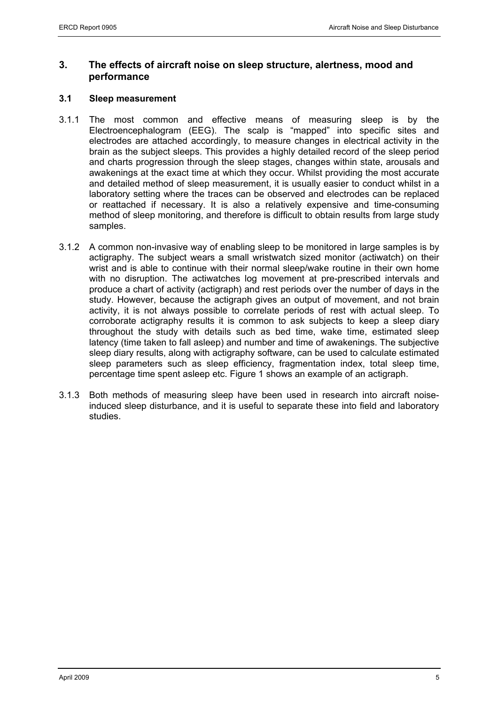### **3. The effects of aircraft noise on sleep structure, alertness, mood and performance**

#### **3.1 Sleep measurement**

- 3.1.1 The most common and effective means of measuring sleep is by the Electroencephalogram (EEG). The scalp is "mapped" into specific sites and electrodes are attached accordingly, to measure changes in electrical activity in the brain as the subject sleeps. This provides a highly detailed record of the sleep period and charts progression through the sleep stages, changes within state, arousals and awakenings at the exact time at which they occur. Whilst providing the most accurate and detailed method of sleep measurement, it is usually easier to conduct whilst in a laboratory setting where the traces can be observed and electrodes can be replaced or reattached if necessary. It is also a relatively expensive and time-consuming method of sleep monitoring, and therefore is difficult to obtain results from large study samples.
- 3.1.2 A common non-invasive way of enabling sleep to be monitored in large samples is by actigraphy. The subject wears a small wristwatch sized monitor (actiwatch) on their wrist and is able to continue with their normal sleep/wake routine in their own home with no disruption. The actiwatches log movement at pre-prescribed intervals and produce a chart of activity (actigraph) and rest periods over the number of days in the study. However, because the actigraph gives an output of movement, and not brain activity, it is not always possible to correlate periods of rest with actual sleep. To corroborate actigraphy results it is common to ask subjects to keep a sleep diary throughout the study with details such as bed time, wake time, estimated sleep latency (time taken to fall asleep) and number and time of awakenings. The subjective sleep diary results, along with actigraphy software, can be used to calculate estimated sleep parameters such as sleep efficiency, fragmentation index, total sleep time, percentage time spent asleep etc. Figure 1 shows an example of an actigraph.
- 3.1.3 Both methods of measuring sleep have been used in research into aircraft noiseinduced sleep disturbance, and it is useful to separate these into field and laboratory studies.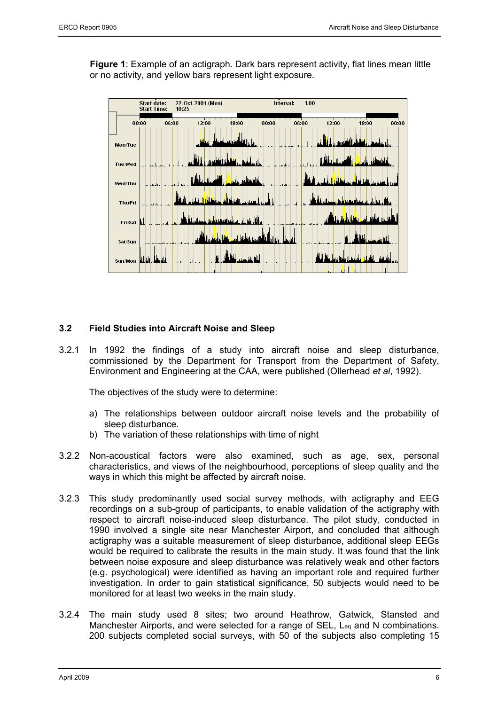**Figure 1**: Example of an actigraph. Dark bars represent activity, flat lines mean little or no activity, and yellow bars represent light exposure.



### **3.2 Field Studies into Aircraft Noise and Sleep**

3.2.1 In 1992 the findings of a study into aircraft noise and sleep disturbance, commissioned by the Department for Transport from the Department of Safety, Environment and Engineering at the CAA, were published (Ollerhead *et al*, 1992).

The objectives of the study were to determine:

- a) The relationships between outdoor aircraft noise levels and the probability of sleep disturbance.
- b) The variation of these relationships with time of night
- 3.2.2 Non-acoustical factors were also examined, such as age, sex, personal characteristics, and views of the neighbourhood, perceptions of sleep quality and the ways in which this might be affected by aircraft noise.
- 3.2.3 This study predominantly used social survey methods, with actigraphy and EEG recordings on a sub-group of participants, to enable validation of the actigraphy with respect to aircraft noise-induced sleep disturbance. The pilot study, conducted in 1990 involved a single site near Manchester Airport, and concluded that although actigraphy was a suitable measurement of sleep disturbance, additional sleep EEGs would be required to calibrate the results in the main study. It was found that the link between noise exposure and sleep disturbance was relatively weak and other factors (e.g. psychological) were identified as having an important role and required further investigation. In order to gain statistical significance, 50 subjects would need to be monitored for at least two weeks in the main study.
- 3.2.4 The main study used 8 sites; two around Heathrow, Gatwick, Stansted and Manchester Airports, and were selected for a range of SEL, Leg and N combinations. 200 subjects completed social surveys, with 50 of the subjects also completing 15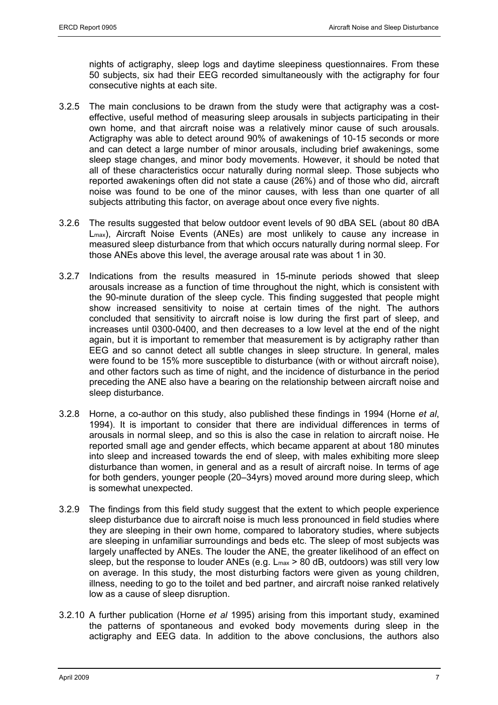nights of actigraphy, sleep logs and daytime sleepiness questionnaires. From these 50 subjects, six had their EEG recorded simultaneously with the actigraphy for four consecutive nights at each site.

- 3.2.5 The main conclusions to be drawn from the study were that actigraphy was a costeffective, useful method of measuring sleep arousals in subjects participating in their own home, and that aircraft noise was a relatively minor cause of such arousals. Actigraphy was able to detect around 90% of awakenings of 10-15 seconds or more and can detect a large number of minor arousals, including brief awakenings, some sleep stage changes, and minor body movements. However, it should be noted that all of these characteristics occur naturally during normal sleep. Those subjects who reported awakenings often did not state a cause (26%) and of those who did, aircraft noise was found to be one of the minor causes, with less than one quarter of all subjects attributing this factor, on average about once every five nights.
- 3.2.6 The results suggested that below outdoor event levels of 90 dBA SEL (about 80 dBA Lmax), Aircraft Noise Events (ANEs) are most unlikely to cause any increase in measured sleep disturbance from that which occurs naturally during normal sleep. For those ANEs above this level, the average arousal rate was about 1 in 30.
- 3.2.7 Indications from the results measured in 15-minute periods showed that sleep arousals increase as a function of time throughout the night, which is consistent with the 90-minute duration of the sleep cycle. This finding suggested that people might show increased sensitivity to noise at certain times of the night. The authors concluded that sensitivity to aircraft noise is low during the first part of sleep, and increases until 0300-0400, and then decreases to a low level at the end of the night again, but it is important to remember that measurement is by actigraphy rather than EEG and so cannot detect all subtle changes in sleep structure. In general, males were found to be 15% more susceptible to disturbance (with or without aircraft noise), and other factors such as time of night, and the incidence of disturbance in the period preceding the ANE also have a bearing on the relationship between aircraft noise and sleep disturbance.
- 3.2.8 Horne, a co-author on this study, also published these findings in 1994 (Horne *et al*, 1994). It is important to consider that there are individual differences in terms of arousals in normal sleep, and so this is also the case in relation to aircraft noise. He reported small age and gender effects, which became apparent at about 180 minutes into sleep and increased towards the end of sleep, with males exhibiting more sleep disturbance than women, in general and as a result of aircraft noise. In terms of age for both genders, younger people (20–34yrs) moved around more during sleep, which is somewhat unexpected.
- 3.2.9 The findings from this field study suggest that the extent to which people experience sleep disturbance due to aircraft noise is much less pronounced in field studies where they are sleeping in their own home, compared to laboratory studies, where subjects are sleeping in unfamiliar surroundings and beds etc. The sleep of most subjects was largely unaffected by ANEs. The louder the ANE, the greater likelihood of an effect on sleep, but the response to louder ANEs (e.g.  $L_{max} > 80$  dB, outdoors) was still very low on average. In this study, the most disturbing factors were given as young children, illness, needing to go to the toilet and bed partner, and aircraft noise ranked relatively low as a cause of sleep disruption.
- 3.2.10 A further publication (Horne *et al* 1995) arising from this important study, examined the patterns of spontaneous and evoked body movements during sleep in the actigraphy and EEG data. In addition to the above conclusions, the authors also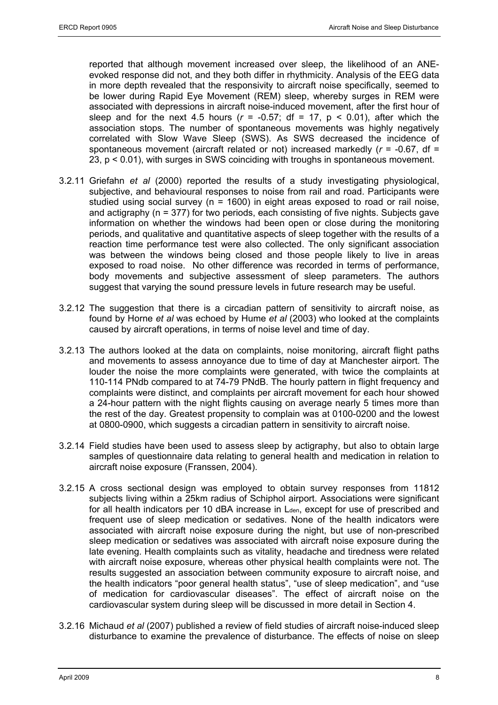reported that although movement increased over sleep, the likelihood of an ANEevoked response did not, and they both differ in rhythmicity. Analysis of the EEG data in more depth revealed that the responsivity to aircraft noise specifically, seemed to be lower during Rapid Eye Movement (REM) sleep, whereby surges in REM were associated with depressions in aircraft noise-induced movement, after the first hour of sleep and for the next 4.5 hours  $(r = -0.57; df = 17, p < 0.01)$ , after which the association stops. The number of spontaneous movements was highly negatively correlated with Slow Wave Sleep (SWS). As SWS decreased the incidence of spontaneous movement (aircraft related or not) increased markedly (*r* = -0.67, df = 23, p < 0.01), with surges in SWS coinciding with troughs in spontaneous movement.

- 3.2.11 Griefahn *et al* (2000) reported the results of a study investigating physiological, subjective, and behavioural responses to noise from rail and road. Participants were studied using social survey (n = 1600) in eight areas exposed to road or rail noise, and actigraphy ( $n = 377$ ) for two periods, each consisting of five nights. Subjects gave information on whether the windows had been open or close during the monitoring periods, and qualitative and quantitative aspects of sleep together with the results of a reaction time performance test were also collected. The only significant association was between the windows being closed and those people likely to live in areas exposed to road noise. No other difference was recorded in terms of performance, body movements and subjective assessment of sleep parameters. The authors suggest that varying the sound pressure levels in future research may be useful.
- 3.2.12 The suggestion that there is a circadian pattern of sensitivity to aircraft noise, as found by Horne *et al* was echoed by Hume *et al* (2003) who looked at the complaints caused by aircraft operations, in terms of noise level and time of day.
- 3.2.13 The authors looked at the data on complaints, noise monitoring, aircraft flight paths and movements to assess annoyance due to time of day at Manchester airport. The louder the noise the more complaints were generated, with twice the complaints at 110-114 PNdb compared to at 74-79 PNdB. The hourly pattern in flight frequency and complaints were distinct, and complaints per aircraft movement for each hour showed a 24-hour pattern with the night flights causing on average nearly 5 times more than the rest of the day. Greatest propensity to complain was at 0100-0200 and the lowest at 0800-0900, which suggests a circadian pattern in sensitivity to aircraft noise.
- 3.2.14 Field studies have been used to assess sleep by actigraphy, but also to obtain large samples of questionnaire data relating to general health and medication in relation to aircraft noise exposure (Franssen, 2004).
- 3.2.15 A cross sectional design was employed to obtain survey responses from 11812 subjects living within a 25km radius of Schiphol airport. Associations were significant for all health indicators per 10 dBA increase in Lden, except for use of prescribed and frequent use of sleep medication or sedatives. None of the health indicators were associated with aircraft noise exposure during the night, but use of non-prescribed sleep medication or sedatives was associated with aircraft noise exposure during the late evening. Health complaints such as vitality, headache and tiredness were related with aircraft noise exposure, whereas other physical health complaints were not. The results suggested an association between community exposure to aircraft noise, and the health indicators "poor general health status", "use of sleep medication", and "use of medication for cardiovascular diseases". The effect of aircraft noise on the cardiovascular system during sleep will be discussed in more detail in Section 4.
- 3.2.16 Michaud *et al* (2007) published a review of field studies of aircraft noise-induced sleep disturbance to examine the prevalence of disturbance. The effects of noise on sleep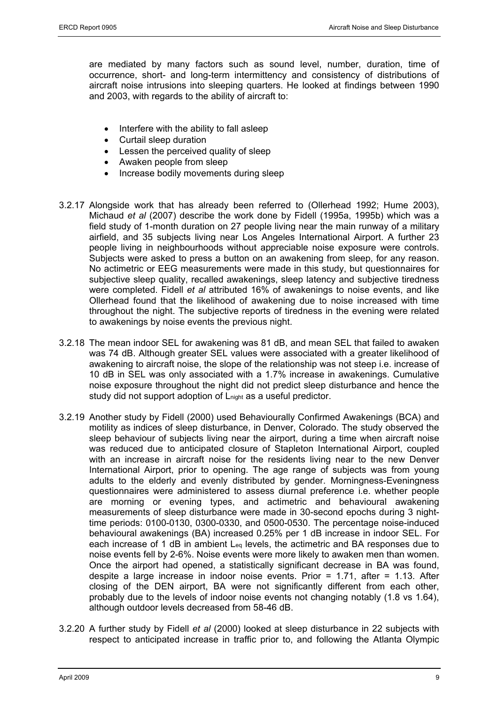are mediated by many factors such as sound level, number, duration, time of occurrence, short- and long-term intermittency and consistency of distributions of aircraft noise intrusions into sleeping quarters. He looked at findings between 1990 and 2003, with regards to the ability of aircraft to:

- Interfere with the ability to fall asleep
- Curtail sleep duration
- Lessen the perceived quality of sleep
- Awaken people from sleep
- Increase bodily movements during sleep
- 3.2.17 Alongside work that has already been referred to (Ollerhead 1992; Hume 2003), Michaud *et al* (2007) describe the work done by Fidell (1995a, 1995b) which was a field study of 1-month duration on 27 people living near the main runway of a military airfield, and 35 subjects living near Los Angeles International Airport. A further 23 people living in neighbourhoods without appreciable noise exposure were controls. Subjects were asked to press a button on an awakening from sleep, for any reason. No actimetric or EEG measurements were made in this study, but questionnaires for subjective sleep quality, recalled awakenings, sleep latency and subjective tiredness were completed. Fidell *et al* attributed 16% of awakenings to noise events, and like Ollerhead found that the likelihood of awakening due to noise increased with time throughout the night. The subjective reports of tiredness in the evening were related to awakenings by noise events the previous night.
- 3.2.18 The mean indoor SEL for awakening was 81 dB, and mean SEL that failed to awaken was 74 dB. Although greater SEL values were associated with a greater likelihood of awakening to aircraft noise, the slope of the relationship was not steep i.e. increase of 10 dB in SEL was only associated with a 1.7% increase in awakenings. Cumulative noise exposure throughout the night did not predict sleep disturbance and hence the study did not support adoption of Lnight as a useful predictor.
- 3.2.19 Another study by Fidell (2000) used Behaviourally Confirmed Awakenings (BCA) and motility as indices of sleep disturbance, in Denver, Colorado. The study observed the sleep behaviour of subjects living near the airport, during a time when aircraft noise was reduced due to anticipated closure of Stapleton International Airport, coupled with an increase in aircraft noise for the residents living near to the new Denver International Airport, prior to opening. The age range of subjects was from young adults to the elderly and evenly distributed by gender. Morningness-Eveningness questionnaires were administered to assess diurnal preference i.e. whether people are morning or evening types, and actimetric and behavioural awakening measurements of sleep disturbance were made in 30-second epochs during 3 nighttime periods: 0100-0130, 0300-0330, and 0500-0530. The percentage noise-induced behavioural awakenings (BA) increased 0.25% per 1 dB increase in indoor SEL. For each increase of 1 dB in ambient Leq levels, the actimetric and BA responses due to noise events fell by 2-6%. Noise events were more likely to awaken men than women. Once the airport had opened, a statistically significant decrease in BA was found, despite a large increase in indoor noise events. Prior = 1.71, after = 1.13. After closing of the DEN airport, BA were not significantly different from each other, probably due to the levels of indoor noise events not changing notably (1.8 vs 1.64), although outdoor levels decreased from 58-46 dB.
- 3.2.20 A further study by Fidell *et al* (2000) looked at sleep disturbance in 22 subjects with respect to anticipated increase in traffic prior to, and following the Atlanta Olympic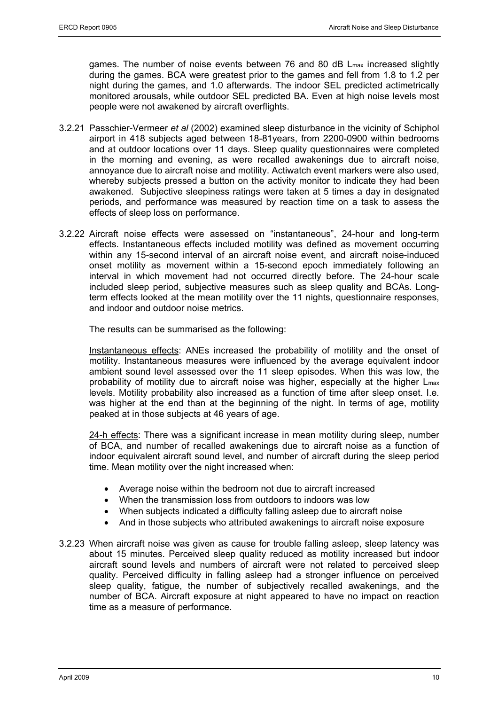games. The number of noise events between 76 and 80 dB L<sub>max</sub> increased slightly during the games. BCA were greatest prior to the games and fell from 1.8 to 1.2 per night during the games, and 1.0 afterwards. The indoor SEL predicted actimetrically monitored arousals, while outdoor SEL predicted BA. Even at high noise levels most people were not awakened by aircraft overflights.

- 3.2.21 Passchier-Vermeer *et al* (2002) examined sleep disturbance in the vicinity of Schiphol airport in 418 subjects aged between 18-81years, from 2200-0900 within bedrooms and at outdoor locations over 11 days. Sleep quality questionnaires were completed in the morning and evening, as were recalled awakenings due to aircraft noise, annoyance due to aircraft noise and motility. Actiwatch event markers were also used, whereby subjects pressed a button on the activity monitor to indicate they had been awakened. Subjective sleepiness ratings were taken at 5 times a day in designated periods, and performance was measured by reaction time on a task to assess the effects of sleep loss on performance.
- 3.2.22 Aircraft noise effects were assessed on "instantaneous", 24-hour and long-term effects. Instantaneous effects included motility was defined as movement occurring within any 15-second interval of an aircraft noise event, and aircraft noise-induced onset motility as movement within a 15-second epoch immediately following an interval in which movement had not occurred directly before. The 24-hour scale included sleep period, subjective measures such as sleep quality and BCAs. Longterm effects looked at the mean motility over the 11 nights, questionnaire responses, and indoor and outdoor noise metrics.

The results can be summarised as the following:

Instantaneous effects: ANEs increased the probability of motility and the onset of motility. Instantaneous measures were influenced by the average equivalent indoor ambient sound level assessed over the 11 sleep episodes. When this was low, the probability of motility due to aircraft noise was higher, especially at the higher Lmax levels. Motility probability also increased as a function of time after sleep onset. I.e. was higher at the end than at the beginning of the night. In terms of age, motility peaked at in those subjects at 46 years of age.

24-h effects: There was a significant increase in mean motility during sleep, number of BCA, and number of recalled awakenings due to aircraft noise as a function of indoor equivalent aircraft sound level, and number of aircraft during the sleep period time. Mean motility over the night increased when:

- Average noise within the bedroom not due to aircraft increased
- When the transmission loss from outdoors to indoors was low
- When subjects indicated a difficulty falling asleep due to aircraft noise
- And in those subjects who attributed awakenings to aircraft noise exposure
- 3.2.23 When aircraft noise was given as cause for trouble falling asleep, sleep latency was about 15 minutes. Perceived sleep quality reduced as motility increased but indoor aircraft sound levels and numbers of aircraft were not related to perceived sleep quality. Perceived difficulty in falling asleep had a stronger influence on perceived sleep quality, fatigue, the number of subjectively recalled awakenings, and the number of BCA. Aircraft exposure at night appeared to have no impact on reaction time as a measure of performance.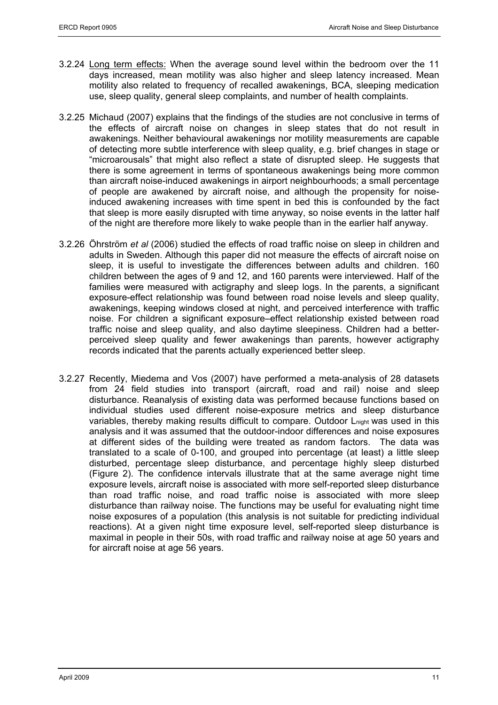- 3.2.24 Long term effects: When the average sound level within the bedroom over the 11 days increased, mean motility was also higher and sleep latency increased. Mean motility also related to frequency of recalled awakenings, BCA, sleeping medication use, sleep quality, general sleep complaints, and number of health complaints.
- 3.2.25 Michaud (2007) explains that the findings of the studies are not conclusive in terms of the effects of aircraft noise on changes in sleep states that do not result in awakenings. Neither behavioural awakenings nor motility measurements are capable of detecting more subtle interference with sleep quality, e.g. brief changes in stage or "microarousals" that might also reflect a state of disrupted sleep. He suggests that there is some agreement in terms of spontaneous awakenings being more common than aircraft noise-induced awakenings in airport neighbourhoods; a small percentage of people are awakened by aircraft noise, and although the propensity for noiseinduced awakening increases with time spent in bed this is confounded by the fact that sleep is more easily disrupted with time anyway, so noise events in the latter half of the night are therefore more likely to wake people than in the earlier half anyway.
- 3.2.26 Öhrström *et al* (2006) studied the effects of road traffic noise on sleep in children and adults in Sweden. Although this paper did not measure the effects of aircraft noise on sleep, it is useful to investigate the differences between adults and children. 160 children between the ages of 9 and 12, and 160 parents were interviewed. Half of the families were measured with actigraphy and sleep logs. In the parents, a significant exposure-effect relationship was found between road noise levels and sleep quality, awakenings, keeping windows closed at night, and perceived interference with traffic noise. For children a significant exposure–effect relationship existed between road traffic noise and sleep quality, and also daytime sleepiness. Children had a betterperceived sleep quality and fewer awakenings than parents, however actigraphy records indicated that the parents actually experienced better sleep.
- 3.2.27 Recently, Miedema and Vos (2007) have performed a meta-analysis of 28 datasets from 24 field studies into transport (aircraft, road and rail) noise and sleep disturbance. Reanalysis of existing data was performed because functions based on individual studies used different noise-exposure metrics and sleep disturbance variables, thereby making results difficult to compare. Outdoor Lnight was used in this analysis and it was assumed that the outdoor-indoor differences and noise exposures at different sides of the building were treated as random factors. The data was translated to a scale of 0-100, and grouped into percentage (at least) a little sleep disturbed, percentage sleep disturbance, and percentage highly sleep disturbed (Figure 2). The confidence intervals illustrate that at the same average night time exposure levels, aircraft noise is associated with more self-reported sleep disturbance than road traffic noise, and road traffic noise is associated with more sleep disturbance than railway noise. The functions may be useful for evaluating night time noise exposures of a population (this analysis is not suitable for predicting individual reactions). At a given night time exposure level, self-reported sleep disturbance is maximal in people in their 50s, with road traffic and railway noise at age 50 years and for aircraft noise at age 56 years.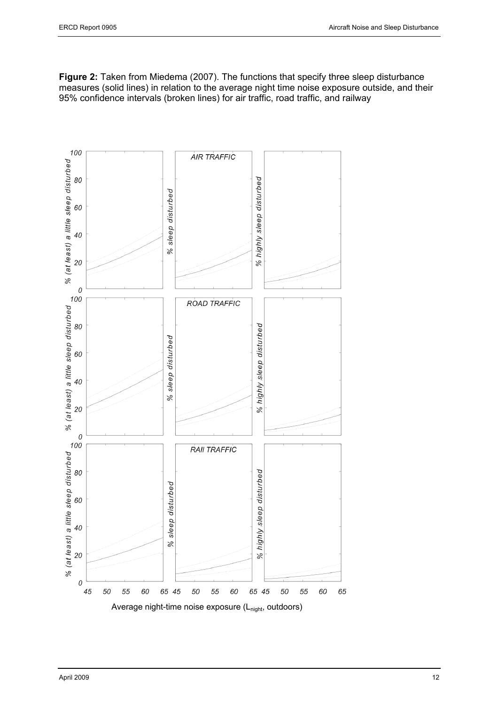**Figure 2:** Taken from Miedema (2007). The functions that specify three sleep disturbance measures (solid lines) in relation to the average night time noise exposure outside, and their 95% confidence intervals (broken lines) for air traffic, road traffic, and railway

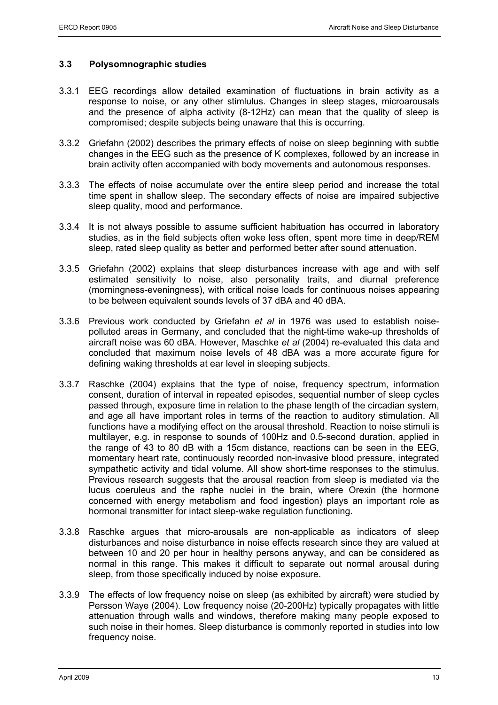#### **3.3 Polysomnographic studies**

- 3.3.1 EEG recordings allow detailed examination of fluctuations in brain activity as a response to noise, or any other stimlulus. Changes in sleep stages, microarousals and the presence of alpha activity (8-12Hz) can mean that the quality of sleep is compromised; despite subjects being unaware that this is occurring.
- 3.3.2 Griefahn (2002) describes the primary effects of noise on sleep beginning with subtle changes in the EEG such as the presence of K complexes, followed by an increase in brain activity often accompanied with body movements and autonomous responses.
- 3.3.3 The effects of noise accumulate over the entire sleep period and increase the total time spent in shallow sleep. The secondary effects of noise are impaired subjective sleep quality, mood and performance.
- 3.3.4 It is not always possible to assume sufficient habituation has occurred in laboratory studies, as in the field subjects often woke less often, spent more time in deep/REM sleep, rated sleep quality as better and performed better after sound attenuation.
- 3.3.5 Griefahn (2002) explains that sleep disturbances increase with age and with self estimated sensitivity to noise, also personality traits, and diurnal preference (morningness-eveningness), with critical noise loads for continuous noises appearing to be between equivalent sounds levels of 37 dBA and 40 dBA.
- 3.3.6 Previous work conducted by Griefahn *et al* in 1976 was used to establish noisepolluted areas in Germany, and concluded that the night-time wake-up thresholds of aircraft noise was 60 dBA. However, Maschke *et al* (2004) re-evaluated this data and concluded that maximum noise levels of 48 dBA was a more accurate figure for defining waking thresholds at ear level in sleeping subjects.
- 3.3.7 Raschke (2004) explains that the type of noise, frequency spectrum, information consent, duration of interval in repeated episodes, sequential number of sleep cycles passed through, exposure time in relation to the phase length of the circadian system, and age all have important roles in terms of the reaction to auditory stimulation. All functions have a modifying effect on the arousal threshold. Reaction to noise stimuli is multilayer, e.g. in response to sounds of 100Hz and 0.5-second duration, applied in the range of 43 to 80 dB with a 15cm distance, reactions can be seen in the EEG, momentary heart rate, continuously recorded non-invasive blood pressure, integrated sympathetic activity and tidal volume. All show short-time responses to the stimulus. Previous research suggests that the arousal reaction from sleep is mediated via the lucus coeruleus and the raphe nuclei in the brain, where Orexin (the hormone concerned with energy metabolism and food ingestion) plays an important role as hormonal transmitter for intact sleep-wake regulation functioning.
- 3.3.8 Raschke argues that micro-arousals are non-applicable as indicators of sleep disturbances and noise disturbance in noise effects research since they are valued at between 10 and 20 per hour in healthy persons anyway, and can be considered as normal in this range. This makes it difficult to separate out normal arousal during sleep, from those specifically induced by noise exposure.
- 3.3.9 The effects of low frequency noise on sleep (as exhibited by aircraft) were studied by Persson Waye (2004). Low frequency noise (20-200Hz) typically propagates with little attenuation through walls and windows, therefore making many people exposed to such noise in their homes. Sleep disturbance is commonly reported in studies into low frequency noise.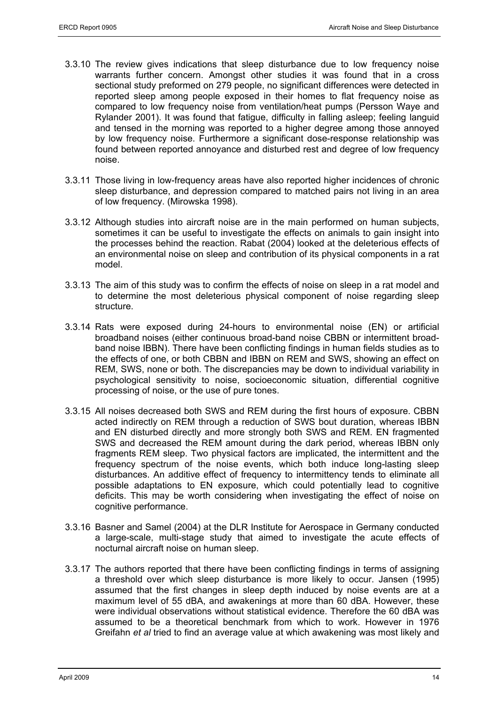- 3.3.10 The review gives indications that sleep disturbance due to low frequency noise warrants further concern. Amongst other studies it was found that in a cross sectional study preformed on 279 people, no significant differences were detected in reported sleep among people exposed in their homes to flat frequency noise as compared to low frequency noise from ventilation/heat pumps (Persson Waye and Rylander 2001). It was found that fatigue, difficulty in falling asleep; feeling languid and tensed in the morning was reported to a higher degree among those annoyed by low frequency noise. Furthermore a significant dose-response relationship was found between reported annoyance and disturbed rest and degree of low frequency noise.
- 3.3.11 Those living in low-frequency areas have also reported higher incidences of chronic sleep disturbance, and depression compared to matched pairs not living in an area of low frequency. (Mirowska 1998).
- 3.3.12 Although studies into aircraft noise are in the main performed on human subjects, sometimes it can be useful to investigate the effects on animals to gain insight into the processes behind the reaction. Rabat (2004) looked at the deleterious effects of an environmental noise on sleep and contribution of its physical components in a rat model.
- 3.3.13 The aim of this study was to confirm the effects of noise on sleep in a rat model and to determine the most deleterious physical component of noise regarding sleep structure.
- 3.3.14 Rats were exposed during 24-hours to environmental noise (EN) or artificial broadband noises (either continuous broad-band noise CBBN or intermittent broadband noise IBBN). There have been conflicting findings in human fields studies as to the effects of one, or both CBBN and IBBN on REM and SWS, showing an effect on REM, SWS, none or both. The discrepancies may be down to individual variability in psychological sensitivity to noise, socioeconomic situation, differential cognitive processing of noise, or the use of pure tones.
- 3.3.15 All noises decreased both SWS and REM during the first hours of exposure. CBBN acted indirectly on REM through a reduction of SWS bout duration, whereas IBBN and EN disturbed directly and more strongly both SWS and REM. EN fragmented SWS and decreased the REM amount during the dark period, whereas IBBN only fragments REM sleep. Two physical factors are implicated, the intermittent and the frequency spectrum of the noise events, which both induce long-lasting sleep disturbances. An additive effect of frequency to intermittency tends to eliminate all possible adaptations to EN exposure, which could potentially lead to cognitive deficits. This may be worth considering when investigating the effect of noise on cognitive performance.
- 3.3.16 Basner and Samel (2004) at the DLR Institute for Aerospace in Germany conducted a large-scale, multi-stage study that aimed to investigate the acute effects of nocturnal aircraft noise on human sleep.
- 3.3.17 The authors reported that there have been conflicting findings in terms of assigning a threshold over which sleep disturbance is more likely to occur. Jansen (1995) assumed that the first changes in sleep depth induced by noise events are at a maximum level of 55 dBA, and awakenings at more than 60 dBA. However, these were individual observations without statistical evidence. Therefore the 60 dBA was assumed to be a theoretical benchmark from which to work. However in 1976 Greifahn *et al* tried to find an average value at which awakening was most likely and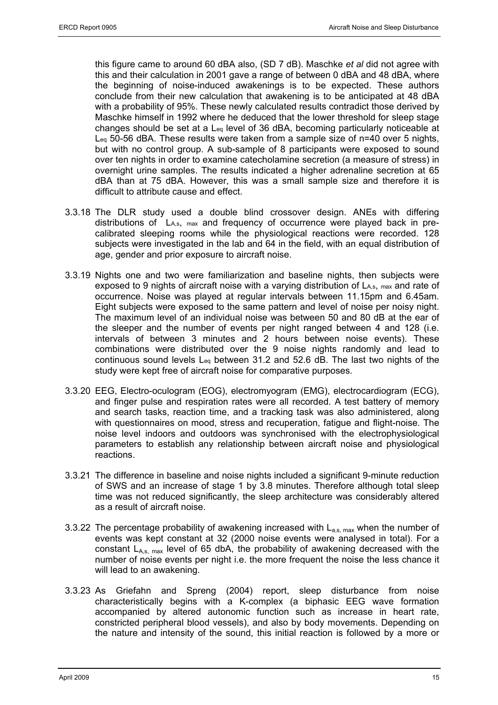this figure came to around 60 dBA also, (SD 7 dB). Maschke *et al* did not agree with this and their calculation in 2001 gave a range of between 0 dBA and 48 dBA, where the beginning of noise-induced awakenings is to be expected. These authors conclude from their new calculation that awakening is to be anticipated at 48 dBA with a probability of 95%. These newly calculated results contradict those derived by Maschke himself in 1992 where he deduced that the lower threshold for sleep stage changes should be set at a  $\mathsf{L}_{eq}$  level of 36 dBA, becoming particularly noticeable at Leq 50-56 dBA. These results were taken from a sample size of n=40 over 5 nights, but with no control group. A sub-sample of 8 participants were exposed to sound over ten nights in order to examine catecholamine secretion (a measure of stress) in overnight urine samples. The results indicated a higher adrenaline secretion at 65 dBA than at 75 dBA. However, this was a small sample size and therefore it is difficult to attribute cause and effect.

- 3.3.18 The DLR study used a double blind crossover design. ANEs with differing distributions of LA,s, max and frequency of occurrence were played back in precalibrated sleeping rooms while the physiological reactions were recorded. 128 subjects were investigated in the lab and 64 in the field, with an equal distribution of age, gender and prior exposure to aircraft noise.
- 3.3.19 Nights one and two were familiarization and baseline nights, then subjects were exposed to 9 nights of aircraft noise with a varying distribution of LA,s, max and rate of occurrence. Noise was played at regular intervals between 11.15pm and 6.45am. Eight subjects were exposed to the same pattern and level of noise per noisy night. The maximum level of an individual noise was between 50 and 80 dB at the ear of the sleeper and the number of events per night ranged between 4 and 128 (i.e. intervals of between 3 minutes and 2 hours between noise events). These combinations were distributed over the 9 noise nights randomly and lead to continuous sound levels Leq between 31.2 and 52.6 dB. The last two nights of the study were kept free of aircraft noise for comparative purposes.
- 3.3.20 EEG, Electro-oculogram (EOG), electromyogram (EMG), electrocardiogram (ECG), and finger pulse and respiration rates were all recorded. A test battery of memory and search tasks, reaction time, and a tracking task was also administered, along with questionnaires on mood, stress and recuperation, fatigue and flight-noise. The noise level indoors and outdoors was synchronised with the electrophysiological parameters to establish any relationship between aircraft noise and physiological reactions.
- 3.3.21 The difference in baseline and noise nights included a significant 9-minute reduction of SWS and an increase of stage 1 by 3.8 minutes. Therefore although total sleep time was not reduced significantly, the sleep architecture was considerably altered as a result of aircraft noise.
- 3.3.22 The percentage probability of awakening increased with  $L_{a,s, max}$  when the number of events was kept constant at 32 (2000 noise events were analysed in total). For a constant  $L_{As, max}$  level of 65 dbA, the probability of awakening decreased with the number of noise events per night i.e. the more frequent the noise the less chance it will lead to an awakening.
- 3.3.23 As Griefahn and Spreng (2004) report, sleep disturbance from noise characteristically begins with a K-complex (a biphasic EEG wave formation accompanied by altered autonomic function such as increase in heart rate, constricted peripheral blood vessels), and also by body movements. Depending on the nature and intensity of the sound, this initial reaction is followed by a more or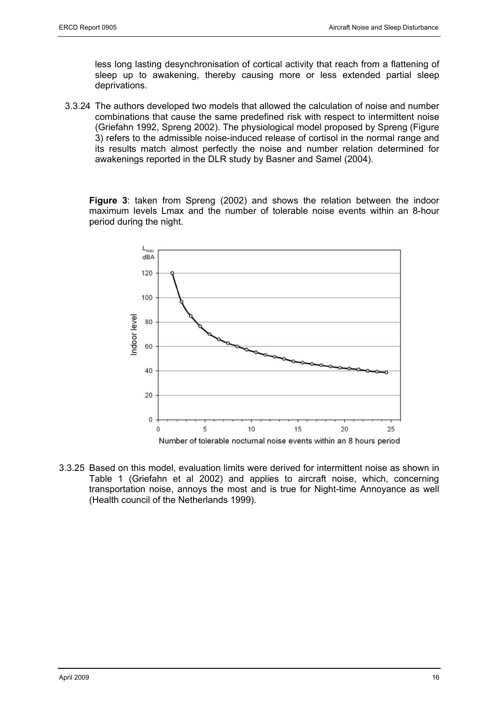less long lasting desynchronisation of cortical activity that reach from a flattening of sleep up to awakening, thereby causing more or less extended partial sleep deprivations.

3.3.24 The authors developed two models that allowed the calculation of noise and number combinations that cause the same predefined risk with respect to intermittent noise (Griefahn 1992, Spreng 2002). The physiological model proposed by Spreng (Figure 3) refers to the admissible noise-induced release of cortisol in the normal range and its results match almost perfectly the noise and number relation determined for awakenings reported in the DLR study by Basner and Samel (2004).

**Figure 3**: taken from Spreng (2002) and shows the relation between the indoor maximum levels Lmax and the number of tolerable noise events within an 8-hour period during the night.



3.3.25 Based on this model, evaluation limits were derived for intermittent noise as shown in Table 1 (Griefahn et al 2002) and applies to aircraft noise, which, concerning transportation noise, annoys the most and is true for Night-time Annoyance as well (Health council of the Netherlands 1999).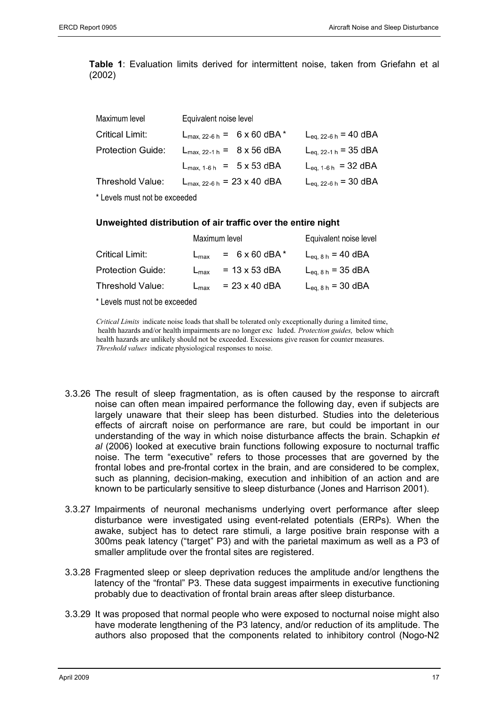**Table 1**: Evaluation limits derived for intermittent noise, taken from Griefahn et al (2002)

| Maximum level            | Equivalent noise level                             |                                                      |                           |  |
|--------------------------|----------------------------------------------------|------------------------------------------------------|---------------------------|--|
| <b>Critical Limit:</b>   |                                                    | $L_{\text{max, }22-6 h} = 6 \times 60 \text{ dBA}^*$ | $L_{eq, 22-6 h}$ = 40 dBA |  |
| <b>Protection Guide:</b> | $L_{\text{max. 22-1 h}} = 8 \times 56 \text{ dBA}$ |                                                      | $L_{eq, 22-1 h} = 35$ dBA |  |
|                          | $L_{\text{max, 1-6 h}} = 5 \times 53 \text{ dBA}$  |                                                      | $L_{eq, 1-6h}$ = 32 dBA   |  |
| Threshold Value:         | $L_{\text{max, }22-6 h}$ = 23 x 40 dBA             |                                                      | $L_{eq. 22-6 h}$ = 30 dBA |  |

\* Levels must not be exceeded

#### Unweighted distribution of air traffic over the entire night

|                   | Maximum level    |  |                               | Equivalent noise level        |
|-------------------|------------------|--|-------------------------------|-------------------------------|
| Critical Limit:   | $L_{\rm max}$    |  | $= 6 \times 60 \text{ dBA}^*$ | $L_{\text{eq, 8 h}}$ = 40 dBA |
| Protection Guide: | $L_{\text{max}}$ |  | $= 13 \times 53$ dBA          | $L_{eq. 8 h}$ = 35 dBA        |
| Threshold Value:  | $L_{\rm max}$    |  | $= 23 \times 40$ dBA          | $L_{ea. 8 h}$ = 30 dBA        |
|                   |                  |  |                               |                               |

\* Levels must not be exceeded

Critical Limits indicate noise loads that shall be tolerated only exceptionally during a limited time, health hazards and/or health impairments are no longer exc luded. Protection guides, below which health hazards are unlikely should not be exceeded. Excessions give reason for counter measures. Threshold values indicate physiological responses to noise.

- 3.3.26 The result of sleep fragmentation, as is often caused by the response to aircraft noise can often mean impaired performance the following day, even if subjects are largely unaware that their sleep has been disturbed. Studies into the deleterious effects of aircraft noise on performance are rare, but could be important in our understanding of the way in which noise disturbance affects the brain. Schapkin *et al* (2006) looked at executive brain functions following exposure to nocturnal traffic noise. The term "executive" refers to those processes that are governed by the frontal lobes and pre-frontal cortex in the brain, and are considered to be complex, such as planning, decision-making, execution and inhibition of an action and are known to be particularly sensitive to sleep disturbance (Jones and Harrison 2001).
- 3.3.27 Impairments of neuronal mechanisms underlying overt performance after sleep disturbance were investigated using event-related potentials (ERPs). When the awake, subject has to detect rare stimuli, a large positive brain response with a 300ms peak latency ("target" P3) and with the parietal maximum as well as a P3 of smaller amplitude over the frontal sites are registered.
- 3.3.28 Fragmented sleep or sleep deprivation reduces the amplitude and/or lengthens the latency of the "frontal" P3. These data suggest impairments in executive functioning probably due to deactivation of frontal brain areas after sleep disturbance.
- 3.3.29 It was proposed that normal people who were exposed to nocturnal noise might also have moderate lengthening of the P3 latency, and/or reduction of its amplitude. The authors also proposed that the components related to inhibitory control (Nogo-N2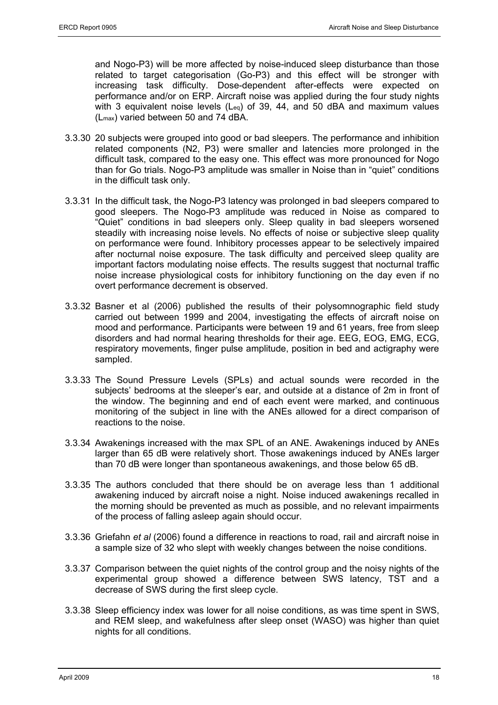and Nogo-P3) will be more affected by noise-induced sleep disturbance than those related to target categorisation (Go-P3) and this effect will be stronger with increasing task difficulty. Dose-dependent after-effects were expected on performance and/or on ERP. Aircraft noise was applied during the four study nights with 3 equivalent noise levels (Leq) of 39, 44, and 50 dBA and maximum values (Lmax) varied between 50 and 74 dBA.

- 3.3.30 20 subjects were grouped into good or bad sleepers. The performance and inhibition related components (N2, P3) were smaller and latencies more prolonged in the difficult task, compared to the easy one. This effect was more pronounced for Nogo than for Go trials. Nogo-P3 amplitude was smaller in Noise than in "quiet" conditions in the difficult task only.
- 3.3.31 In the difficult task, the Nogo-P3 latency was prolonged in bad sleepers compared to good sleepers. The Nogo-P3 amplitude was reduced in Noise as compared to "Quiet" conditions in bad sleepers only. Sleep quality in bad sleepers worsened steadily with increasing noise levels. No effects of noise or subjective sleep quality on performance were found. Inhibitory processes appear to be selectively impaired after nocturnal noise exposure. The task difficulty and perceived sleep quality are important factors modulating noise effects. The results suggest that nocturnal traffic noise increase physiological costs for inhibitory functioning on the day even if no overt performance decrement is observed.
- 3.3.32 Basner et al (2006) published the results of their polysomnographic field study carried out between 1999 and 2004, investigating the effects of aircraft noise on mood and performance. Participants were between 19 and 61 years, free from sleep disorders and had normal hearing thresholds for their age. EEG, EOG, EMG, ECG, respiratory movements, finger pulse amplitude, position in bed and actigraphy were sampled.
- 3.3.33 The Sound Pressure Levels (SPLs) and actual sounds were recorded in the subjects' bedrooms at the sleeper's ear, and outside at a distance of 2m in front of the window. The beginning and end of each event were marked, and continuous monitoring of the subject in line with the ANEs allowed for a direct comparison of reactions to the noise.
- 3.3.34 Awakenings increased with the max SPL of an ANE. Awakenings induced by ANEs larger than 65 dB were relatively short. Those awakenings induced by ANEs larger than 70 dB were longer than spontaneous awakenings, and those below 65 dB.
- 3.3.35 The authors concluded that there should be on average less than 1 additional awakening induced by aircraft noise a night. Noise induced awakenings recalled in the morning should be prevented as much as possible, and no relevant impairments of the process of falling asleep again should occur.
- 3.3.36 Griefahn *et al* (2006) found a difference in reactions to road, rail and aircraft noise in a sample size of 32 who slept with weekly changes between the noise conditions.
- 3.3.37 Comparison between the quiet nights of the control group and the noisy nights of the experimental group showed a difference between SWS latency, TST and a decrease of SWS during the first sleep cycle.
- 3.3.38 Sleep efficiency index was lower for all noise conditions, as was time spent in SWS, and REM sleep, and wakefulness after sleep onset (WASO) was higher than quiet nights for all conditions.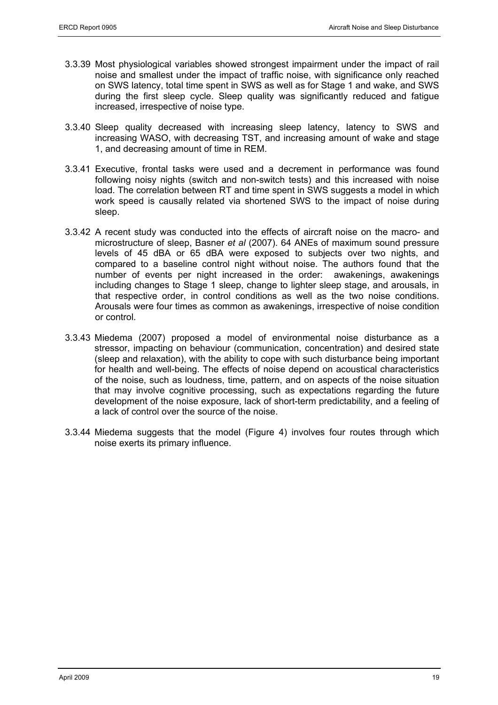- 3.3.39 Most physiological variables showed strongest impairment under the impact of rail noise and smallest under the impact of traffic noise, with significance only reached on SWS latency, total time spent in SWS as well as for Stage 1 and wake, and SWS during the first sleep cycle. Sleep quality was significantly reduced and fatigue increased, irrespective of noise type.
- 3.3.40 Sleep quality decreased with increasing sleep latency, latency to SWS and increasing WASO, with decreasing TST, and increasing amount of wake and stage 1, and decreasing amount of time in REM.
- 3.3.41 Executive, frontal tasks were used and a decrement in performance was found following noisy nights (switch and non-switch tests) and this increased with noise load. The correlation between RT and time spent in SWS suggests a model in which work speed is causally related via shortened SWS to the impact of noise during sleep.
- 3.3.42 A recent study was conducted into the effects of aircraft noise on the macro- and microstructure of sleep, Basner *et al* (2007). 64 ANEs of maximum sound pressure levels of 45 dBA or 65 dBA were exposed to subjects over two nights, and compared to a baseline control night without noise. The authors found that the number of events per night increased in the order: awakenings, awakenings including changes to Stage 1 sleep, change to lighter sleep stage, and arousals, in that respective order, in control conditions as well as the two noise conditions. Arousals were four times as common as awakenings, irrespective of noise condition or control.
- 3.3.43 Miedema (2007) proposed a model of environmental noise disturbance as a stressor, impacting on behaviour (communication, concentration) and desired state (sleep and relaxation), with the ability to cope with such disturbance being important for health and well-being. The effects of noise depend on acoustical characteristics of the noise, such as loudness, time, pattern, and on aspects of the noise situation that may involve cognitive processing, such as expectations regarding the future development of the noise exposure, lack of short-term predictability, and a feeling of a lack of control over the source of the noise.
- 3.3.44 Miedema suggests that the model (Figure 4) involves four routes through which noise exerts its primary influence.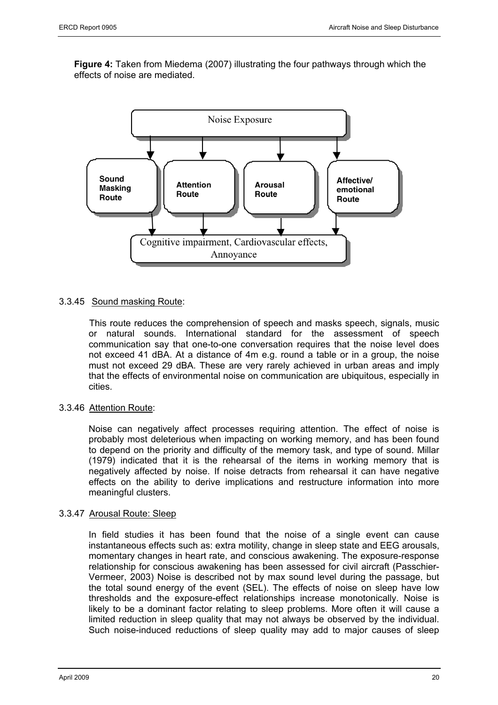**Figure 4:** Taken from Miedema (2007) illustrating the four pathways through which the effects of noise are mediated.



#### 3.3.45 Sound masking Route:

This route reduces the comprehension of speech and masks speech, signals, music or natural sounds. International standard for the assessment of speech communication say that one-to-one conversation requires that the noise level does not exceed 41 dBA. At a distance of 4m e.g. round a table or in a group, the noise must not exceed 29 dBA. These are very rarely achieved in urban areas and imply that the effects of environmental noise on communication are ubiquitous, especially in cities.

#### 3.3.46 Attention Route:

Noise can negatively affect processes requiring attention. The effect of noise is probably most deleterious when impacting on working memory, and has been found to depend on the priority and difficulty of the memory task, and type of sound. Millar (1979) indicated that it is the rehearsal of the items in working memory that is negatively affected by noise. If noise detracts from rehearsal it can have negative effects on the ability to derive implications and restructure information into more meaningful clusters.

#### 3.3.47 Arousal Route: Sleep

In field studies it has been found that the noise of a single event can cause instantaneous effects such as: extra motility, change in sleep state and EEG arousals, momentary changes in heart rate, and conscious awakening. The exposure-response relationship for conscious awakening has been assessed for civil aircraft (Passchier-Vermeer, 2003) Noise is described not by max sound level during the passage, but the total sound energy of the event (SEL). The effects of noise on sleep have low thresholds and the exposure-effect relationships increase monotonically. Noise is likely to be a dominant factor relating to sleep problems. More often it will cause a limited reduction in sleep quality that may not always be observed by the individual. Such noise-induced reductions of sleep quality may add to major causes of sleep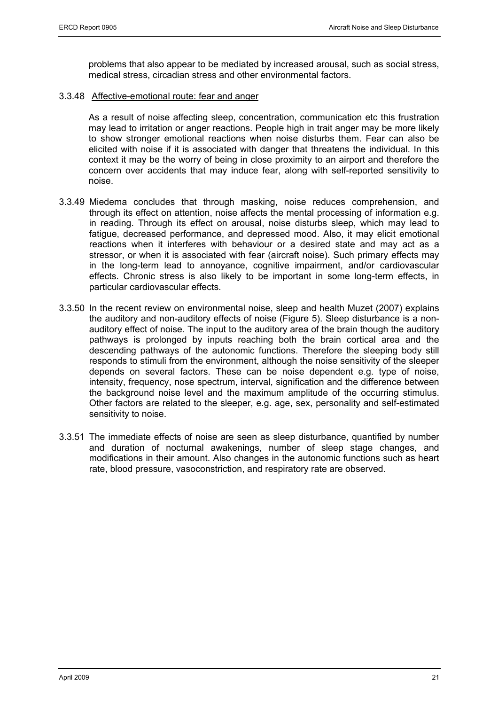problems that also appear to be mediated by increased arousal, such as social stress, medical stress, circadian stress and other environmental factors.

3.3.48 Affective-emotional route: fear and anger

As a result of noise affecting sleep, concentration, communication etc this frustration may lead to irritation or anger reactions. People high in trait anger may be more likely to show stronger emotional reactions when noise disturbs them. Fear can also be elicited with noise if it is associated with danger that threatens the individual. In this context it may be the worry of being in close proximity to an airport and therefore the concern over accidents that may induce fear, along with self-reported sensitivity to noise.

- 3.3.49 Miedema concludes that through masking, noise reduces comprehension, and through its effect on attention, noise affects the mental processing of information e.g. in reading. Through its effect on arousal, noise disturbs sleep, which may lead to fatigue, decreased performance, and depressed mood. Also, it may elicit emotional reactions when it interferes with behaviour or a desired state and may act as a stressor, or when it is associated with fear (aircraft noise). Such primary effects may in the long-term lead to annoyance, cognitive impairment, and/or cardiovascular effects. Chronic stress is also likely to be important in some long-term effects, in particular cardiovascular effects.
- 3.3.50 In the recent review on environmental noise, sleep and health Muzet (2007) explains the auditory and non-auditory effects of noise (Figure 5). Sleep disturbance is a nonauditory effect of noise. The input to the auditory area of the brain though the auditory pathways is prolonged by inputs reaching both the brain cortical area and the descending pathways of the autonomic functions. Therefore the sleeping body still responds to stimuli from the environment, although the noise sensitivity of the sleeper depends on several factors. These can be noise dependent e.g. type of noise, intensity, frequency, nose spectrum, interval, signification and the difference between the background noise level and the maximum amplitude of the occurring stimulus. Other factors are related to the sleeper, e.g. age, sex, personality and self-estimated sensitivity to noise.
- 3.3.51 The immediate effects of noise are seen as sleep disturbance, quantified by number and duration of nocturnal awakenings, number of sleep stage changes, and modifications in their amount. Also changes in the autonomic functions such as heart rate, blood pressure, vasoconstriction, and respiratory rate are observed.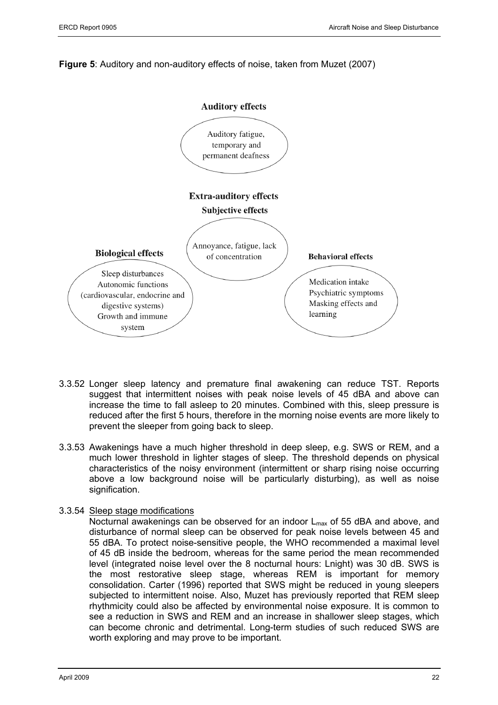

![](_page_31_Figure_3.jpeg)

- 3.3.52 Longer sleep latency and premature final awakening can reduce TST. Reports suggest that intermittent noises with peak noise levels of 45 dBA and above can increase the time to fall asleep to 20 minutes. Combined with this, sleep pressure is reduced after the first 5 hours, therefore in the morning noise events are more likely to prevent the sleeper from going back to sleep.
- 3.3.53 Awakenings have a much higher threshold in deep sleep, e.g. SWS or REM, and a much lower threshold in lighter stages of sleep. The threshold depends on physical characteristics of the noisy environment (intermittent or sharp rising noise occurring above a low background noise will be particularly disturbing), as well as noise signification.
- 3.3.54 Sleep stage modifications

Nocturnal awakenings can be observed for an indoor  $L_{\text{max}}$  of 55 dBA and above, and disturbance of normal sleep can be observed for peak noise levels between 45 and 55 dBA. To protect noise-sensitive people, the WHO recommended a maximal level of 45 dB inside the bedroom, whereas for the same period the mean recommended level (integrated noise level over the 8 nocturnal hours: Lnight) was 30 dB. SWS is the most restorative sleep stage, whereas REM is important for memory consolidation. Carter (1996) reported that SWS might be reduced in young sleepers subjected to intermittent noise. Also, Muzet has previously reported that REM sleep rhythmicity could also be affected by environmental noise exposure. It is common to see a reduction in SWS and REM and an increase in shallower sleep stages, which can become chronic and detrimental. Long-term studies of such reduced SWS are worth exploring and may prove to be important.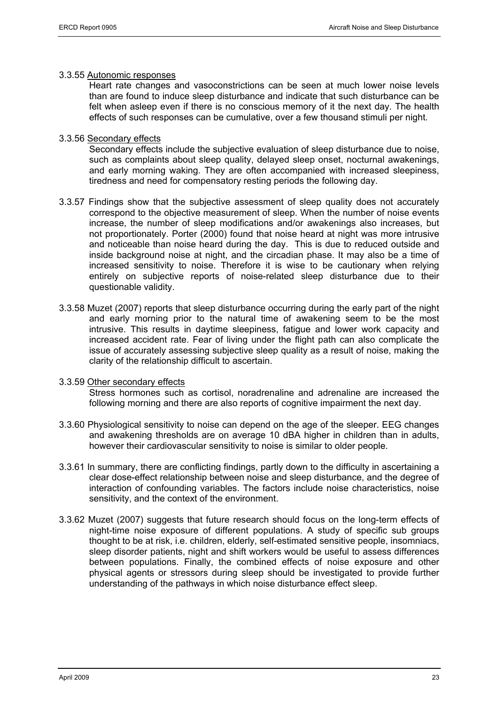#### 3.3.55 Autonomic responses

Heart rate changes and vasoconstrictions can be seen at much lower noise levels than are found to induce sleep disturbance and indicate that such disturbance can be felt when asleep even if there is no conscious memory of it the next day. The health effects of such responses can be cumulative, over a few thousand stimuli per night.

#### 3.3.56 Secondary effects

Secondary effects include the subjective evaluation of sleep disturbance due to noise, such as complaints about sleep quality, delayed sleep onset, nocturnal awakenings, and early morning waking. They are often accompanied with increased sleepiness, tiredness and need for compensatory resting periods the following day.

- 3.3.57 Findings show that the subjective assessment of sleep quality does not accurately correspond to the objective measurement of sleep. When the number of noise events increase, the number of sleep modifications and/or awakenings also increases, but not proportionately. Porter (2000) found that noise heard at night was more intrusive and noticeable than noise heard during the day. This is due to reduced outside and inside background noise at night, and the circadian phase. It may also be a time of increased sensitivity to noise. Therefore it is wise to be cautionary when relying entirely on subjective reports of noise-related sleep disturbance due to their questionable validity.
- 3.3.58 Muzet (2007) reports that sleep disturbance occurring during the early part of the night and early morning prior to the natural time of awakening seem to be the most intrusive. This results in daytime sleepiness, fatigue and lower work capacity and increased accident rate. Fear of living under the flight path can also complicate the issue of accurately assessing subjective sleep quality as a result of noise, making the clarity of the relationship difficult to ascertain.

#### 3.3.59 Other secondary effects

Stress hormones such as cortisol, noradrenaline and adrenaline are increased the following morning and there are also reports of cognitive impairment the next day.

- 3.3.60 Physiological sensitivity to noise can depend on the age of the sleeper. EEG changes and awakening thresholds are on average 10 dBA higher in children than in adults, however their cardiovascular sensitivity to noise is similar to older people.
- 3.3.61 In summary, there are conflicting findings, partly down to the difficulty in ascertaining a clear dose-effect relationship between noise and sleep disturbance, and the degree of interaction of confounding variables. The factors include noise characteristics, noise sensitivity, and the context of the environment.
- 3.3.62 Muzet (2007) suggests that future research should focus on the long-term effects of night-time noise exposure of different populations. A study of specific sub groups thought to be at risk, i.e. children, elderly, self-estimated sensitive people, insomniacs, sleep disorder patients, night and shift workers would be useful to assess differences between populations. Finally, the combined effects of noise exposure and other physical agents or stressors during sleep should be investigated to provide further understanding of the pathways in which noise disturbance effect sleep.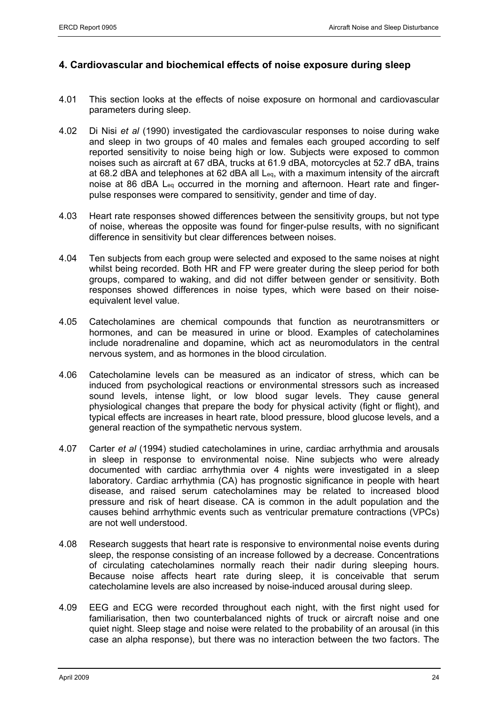# **4. Cardiovascular and biochemical effects of noise exposure during sleep**

- 4.01 This section looks at the effects of noise exposure on hormonal and cardiovascular parameters during sleep.
- 4.02 Di Nisi *et al* (1990) investigated the cardiovascular responses to noise during wake and sleep in two groups of 40 males and females each grouped according to self reported sensitivity to noise being high or low. Subjects were exposed to common noises such as aircraft at 67 dBA, trucks at 61.9 dBA, motorcycles at 52.7 dBA, trains at 68.2 dBA and telephones at 62 dBA all Leq, with a maximum intensity of the aircraft noise at 86 dBA Leq occurred in the morning and afternoon. Heart rate and fingerpulse responses were compared to sensitivity, gender and time of day.
- 4.03 Heart rate responses showed differences between the sensitivity groups, but not type of noise, whereas the opposite was found for finger-pulse results, with no significant difference in sensitivity but clear differences between noises.
- 4.04 Ten subjects from each group were selected and exposed to the same noises at night whilst being recorded. Both HR and FP were greater during the sleep period for both groups, compared to waking, and did not differ between gender or sensitivity. Both responses showed differences in noise types, which were based on their noiseequivalent level value.
- 4.05 Catecholamines are chemical compounds that function as neurotransmitters or hormones, and can be measured in urine or blood. Examples of catecholamines include noradrenaline and dopamine, which act as neuromodulators in the central nervous system, and as hormones in the blood circulation.
- 4.06 Catecholamine levels can be measured as an indicator of stress, which can be induced from psychological reactions or environmental stressors such as increased sound levels, intense light, or low blood sugar levels. They cause general physiological changes that prepare the body for physical activity (fight or flight), and typical effects are increases in heart rate, blood pressure, blood glucose levels, and a general reaction of the sympathetic nervous system.
- 4.07 Carter *et al* (1994) studied catecholamines in urine, cardiac arrhythmia and arousals in sleep in response to environmental noise. Nine subjects who were already documented with cardiac arrhythmia over 4 nights were investigated in a sleep laboratory. Cardiac arrhythmia (CA) has prognostic significance in people with heart disease, and raised serum catecholamines may be related to increased blood pressure and risk of heart disease. CA is common in the adult population and the causes behind arrhythmic events such as ventricular premature contractions (VPCs) are not well understood.
- 4.08 Research suggests that heart rate is responsive to environmental noise events during sleep, the response consisting of an increase followed by a decrease. Concentrations of circulating catecholamines normally reach their nadir during sleeping hours. Because noise affects heart rate during sleep, it is conceivable that serum catecholamine levels are also increased by noise-induced arousal during sleep.
- 4.09 EEG and ECG were recorded throughout each night, with the first night used for familiarisation, then two counterbalanced nights of truck or aircraft noise and one quiet night. Sleep stage and noise were related to the probability of an arousal (in this case an alpha response), but there was no interaction between the two factors. The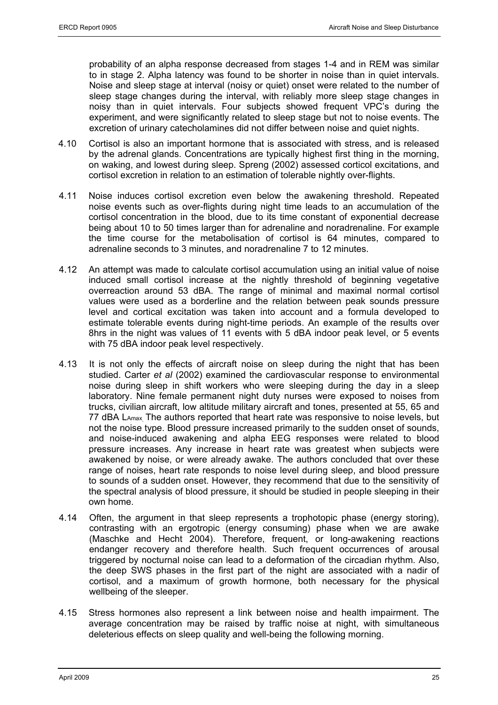probability of an alpha response decreased from stages 1-4 and in REM was similar to in stage 2. Alpha latency was found to be shorter in noise than in quiet intervals. Noise and sleep stage at interval (noisy or quiet) onset were related to the number of sleep stage changes during the interval, with reliably more sleep stage changes in noisy than in quiet intervals. Four subjects showed frequent VPC's during the experiment, and were significantly related to sleep stage but not to noise events. The excretion of urinary catecholamines did not differ between noise and quiet nights.

- 4.10Cortisol is also an important hormone that is associated with stress, and is released by the adrenal glands. Concentrations are typically highest first thing in the morning, on waking, and lowest during sleep. Spreng (2002) assessed corticol excitations, and cortisol excretion in relation to an estimation of tolerable nightly over-flights.
- 4.11 Noise induces cortisol excretion even below the awakening threshold. Repeated noise events such as over-flights during night time leads to an accumulation of the cortisol concentration in the blood, due to its time constant of exponential decrease being about 10 to 50 times larger than for adrenaline and noradrenaline. For example the time course for the metabolisation of cortisol is 64 minutes, compared to adrenaline seconds to 3 minutes, and noradrenaline 7 to 12 minutes.
- 4.12An attempt was made to calculate cortisol accumulation using an initial value of noise induced small cortisol increase at the nightly threshold of beginning vegetative overreaction around 53 dBA. The range of minimal and maximal normal cortisol values were used as a borderline and the relation between peak sounds pressure level and cortical excitation was taken into account and a formula developed to estimate tolerable events during night-time periods. An example of the results over 8hrs in the night was values of 11 events with 5 dBA indoor peak level, or 5 events with 75 dBA indoor peak level respectively.
- 4.13 It is not only the effects of aircraft noise on sleep during the night that has been studied. Carter *et al* (2002) examined the cardiovascular response to environmental noise during sleep in shift workers who were sleeping during the day in a sleep laboratory. Nine female permanent night duty nurses were exposed to noises from trucks, civilian aircraft, low altitude military aircraft and tones, presented at 55, 65 and 77 dBA LAmax. The authors reported that heart rate was responsive to noise levels, but not the noise type. Blood pressure increased primarily to the sudden onset of sounds, and noise-induced awakening and alpha EEG responses were related to blood pressure increases. Any increase in heart rate was greatest when subjects were awakened by noise, or were already awake. The authors concluded that over these range of noises, heart rate responds to noise level during sleep, and blood pressure to sounds of a sudden onset. However, they recommend that due to the sensitivity of the spectral analysis of blood pressure, it should be studied in people sleeping in their own home.
- 4.14 Often, the argument in that sleep represents a trophotopic phase (energy storing), contrasting with an ergotropic (energy consuming) phase when we are awake (Maschke and Hecht 2004). Therefore, frequent, or long-awakening reactions endanger recovery and therefore health. Such frequent occurrences of arousal triggered by nocturnal noise can lead to a deformation of the circadian rhythm. Also, the deep SWS phases in the first part of the night are associated with a nadir of cortisol, and a maximum of growth hormone, both necessary for the physical wellbeing of the sleeper.
- 4.15 Stress hormones also represent a link between noise and health impairment. The average concentration may be raised by traffic noise at night, with simultaneous deleterious effects on sleep quality and well-being the following morning.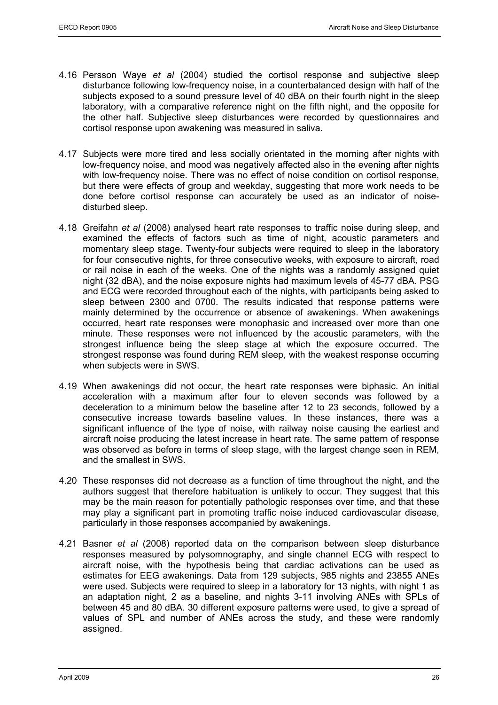- 4.16 Persson Waye *et al* (2004) studied the cortisol response and subjective sleep disturbance following low-frequency noise, in a counterbalanced design with half of the subjects exposed to a sound pressure level of 40 dBA on their fourth night in the sleep laboratory, with a comparative reference night on the fifth night, and the opposite for the other half. Subjective sleep disturbances were recorded by questionnaires and cortisol response upon awakening was measured in saliva.
- 4.17 Subjects were more tired and less socially orientated in the morning after nights with low-frequency noise, and mood was negatively affected also in the evening after nights with low-frequency noise. There was no effect of noise condition on cortisol response, but there were effects of group and weekday, suggesting that more work needs to be done before cortisol response can accurately be used as an indicator of noisedisturbed sleep.
- 4.18 Greifahn *et al* (2008) analysed heart rate responses to traffic noise during sleep, and examined the effects of factors such as time of night, acoustic parameters and momentary sleep stage. Twenty-four subjects were required to sleep in the laboratory for four consecutive nights, for three consecutive weeks, with exposure to aircraft, road or rail noise in each of the weeks. One of the nights was a randomly assigned quiet night (32 dBA), and the noise exposure nights had maximum levels of 45-77 dBA. PSG and ECG were recorded throughout each of the nights, with participants being asked to sleep between 2300 and 0700. The results indicated that response patterns were mainly determined by the occurrence or absence of awakenings. When awakenings occurred, heart rate responses were monophasic and increased over more than one minute. These responses were not influenced by the acoustic parameters, with the strongest influence being the sleep stage at which the exposure occurred. The strongest response was found during REM sleep, with the weakest response occurring when subjects were in SWS.
- 4.19 When awakenings did not occur, the heart rate responses were biphasic. An initial acceleration with a maximum after four to eleven seconds was followed by a deceleration to a minimum below the baseline after 12 to 23 seconds, followed by a consecutive increase towards baseline values. In these instances, there was a significant influence of the type of noise, with railway noise causing the earliest and aircraft noise producing the latest increase in heart rate. The same pattern of response was observed as before in terms of sleep stage, with the largest change seen in REM, and the smallest in SWS.
- 4.20 These responses did not decrease as a function of time throughout the night, and the authors suggest that therefore habituation is unlikely to occur. They suggest that this may be the main reason for potentially pathologic responses over time, and that these may play a significant part in promoting traffic noise induced cardiovascular disease, particularly in those responses accompanied by awakenings.
- 4.21 Basner *et al* (2008) reported data on the comparison between sleep disturbance responses measured by polysomnography, and single channel ECG with respect to aircraft noise, with the hypothesis being that cardiac activations can be used as estimates for EEG awakenings. Data from 129 subjects, 985 nights and 23855 ANEs were used. Subjects were required to sleep in a laboratory for 13 nights, with night 1 as an adaptation night, 2 as a baseline, and nights 3-11 involving ANEs with SPLs of between 45 and 80 dBA. 30 different exposure patterns were used, to give a spread of values of SPL and number of ANEs across the study, and these were randomly assigned.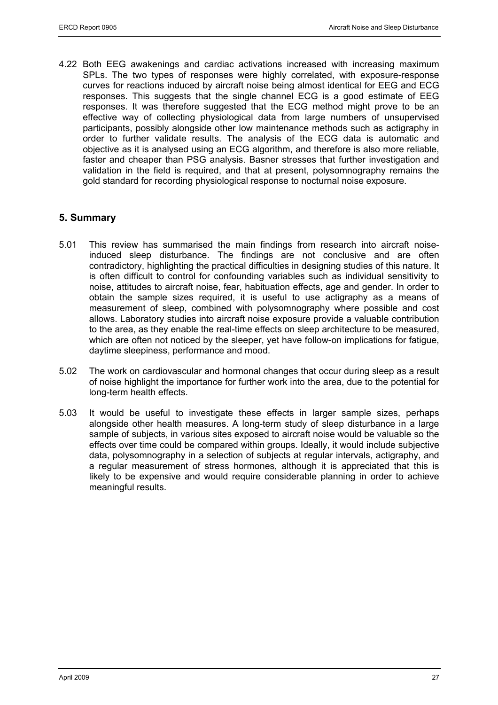4.22 Both EEG awakenings and cardiac activations increased with increasing maximum SPLs. The two types of responses were highly correlated, with exposure-response curves for reactions induced by aircraft noise being almost identical for EEG and ECG responses. This suggests that the single channel ECG is a good estimate of EEG responses. It was therefore suggested that the ECG method might prove to be an effective way of collecting physiological data from large numbers of unsupervised participants, possibly alongside other low maintenance methods such as actigraphy in order to further validate results. The analysis of the ECG data is automatic and objective as it is analysed using an ECG algorithm, and therefore is also more reliable, faster and cheaper than PSG analysis. Basner stresses that further investigation and validation in the field is required, and that at present, polysomnography remains the gold standard for recording physiological response to nocturnal noise exposure.

### **5. Summary**

- 5.01 This review has summarised the main findings from research into aircraft noiseinduced sleep disturbance. The findings are not conclusive and are often contradictory, highlighting the practical difficulties in designing studies of this nature. It is often difficult to control for confounding variables such as individual sensitivity to noise, attitudes to aircraft noise, fear, habituation effects, age and gender. In order to obtain the sample sizes required, it is useful to use actigraphy as a means of measurement of sleep, combined with polysomnography where possible and cost allows. Laboratory studies into aircraft noise exposure provide a valuable contribution to the area, as they enable the real-time effects on sleep architecture to be measured, which are often not noticed by the sleeper, yet have follow-on implications for fatigue, daytime sleepiness, performance and mood.
- 5.02 The work on cardiovascular and hormonal changes that occur during sleep as a result of noise highlight the importance for further work into the area, due to the potential for long-term health effects.
- 5.03 It would be useful to investigate these effects in larger sample sizes, perhaps alongside other health measures. A long-term study of sleep disturbance in a large sample of subjects, in various sites exposed to aircraft noise would be valuable so the effects over time could be compared within groups. Ideally, it would include subjective data, polysomnography in a selection of subjects at regular intervals, actigraphy, and a regular measurement of stress hormones, although it is appreciated that this is likely to be expensive and would require considerable planning in order to achieve meaningful results.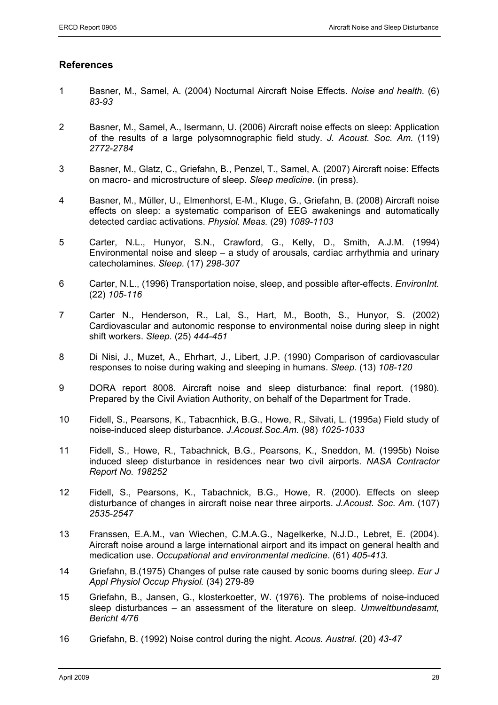# **References**

- 1 Basner, M., Samel, A. (2004) Nocturnal Aircraft Noise Effects. *Noise and health.* (6) *83-93*
- 2 Basner, M., Samel, A., Isermann, U. (2006) Aircraft noise effects on sleep: Application of the results of a large polysomnographic field study. *J. Acoust. Soc. Am.* (119) *2772-2784*
- 3 Basner, M., Glatz, C., Griefahn, B., Penzel, T., Samel, A. (2007) Aircraft noise: Effects on macro- and microstructure of sleep. *Sleep medicine.* (in press).
- 4 Basner, M., Müller, U., Elmenhorst, E-M., Kluge, G., Griefahn, B. (2008) Aircraft noise effects on sleep: a systematic comparison of EEG awakenings and automatically detected cardiac activations. *Physiol. Meas.* (29) *1089-1103*
- 5 Carter, N.L., Hunyor, S.N., Crawford, G., Kelly, D., Smith, A.J.M. (1994) Environmental noise and sleep – a study of arousals, cardiac arrhythmia and urinary catecholamines. *Sleep.* (17) *298-307*
- 6 Carter, N.L., (1996) Transportation noise, sleep, and possible after-effects. *EnvironInt.*  (22) *105-116*
- 7 Carter N., Henderson, R., Lal, S., Hart, M., Booth, S., Hunyor, S. (2002) Cardiovascular and autonomic response to environmental noise during sleep in night shift workers. *Sleep.* (25) *444-451*
- 8 Di Nisi, J., Muzet, A., Ehrhart, J., Libert, J.P. (1990) Comparison of cardiovascular responses to noise during waking and sleeping in humans. *Sleep.* (13) *108-120*
- 9 DORA report 8008. Aircraft noise and sleep disturbance: final report. (1980). Prepared by the Civil Aviation Authority, on behalf of the Department for Trade.
- 10 Fidell, S., Pearsons, K., Tabacnhick, B.G., Howe, R., Silvati, L. (1995a) Field study of noise-induced sleep disturbance. *J.Acoust.Soc.Am.* (98) *1025-1033*
- 11 Fidell, S., Howe, R., Tabachnick, B.G., Pearsons, K., Sneddon, M. (1995b) Noise induced sleep disturbance in residences near two civil airports. *NASA Contractor Report No. 198252*
- 12 Fidell, S., Pearsons, K., Tabachnick, B.G., Howe, R. (2000). Effects on sleep disturbance of changes in aircraft noise near three airports. *J.Acoust. Soc. Am.* (107) *2535-2547*
- 13 Franssen, E.A.M., van Wiechen, C.M.A.G., Nagelkerke, N.J.D., Lebret, E. (2004). Aircraft noise around a large international airport and its impact on general health and medication use. *Occupational and environmental medicine.* (61) *405-413.*
- 14 Griefahn, B.(1975) Changes of pulse rate caused by sonic booms during sleep. *Eur J Appl Physiol Occup Physiol.* (34) 279-89
- 15 Griefahn, B., Jansen, G., klosterkoetter, W. (1976). The problems of noise-induced sleep disturbances – an assessment of the literature on sleep. *Umweltbundesamt, Bericht 4/76*
- 16 Griefahn, B. (1992) Noise control during the night. *Acous. Austral.* (20) *43-47*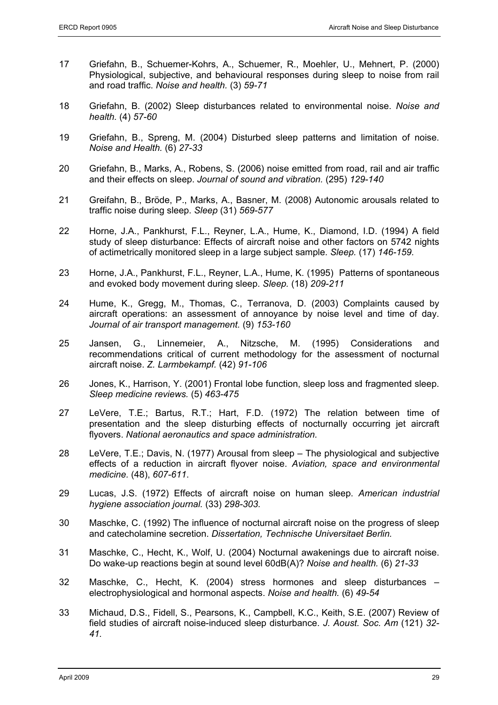- 17 Griefahn, B., Schuemer-Kohrs, A., Schuemer, R., Moehler, U., Mehnert, P. (2000) Physiological, subjective, and behavioural responses during sleep to noise from rail and road traffic. *Noise and health.* (3) *59-71*
- 18 Griefahn, B. (2002) Sleep disturbances related to environmental noise. *Noise and health.* (4) *57-60*
- 19 Griefahn, B., Spreng, M. (2004) Disturbed sleep patterns and limitation of noise. *Noise and Health.* (6) *27-33*
- 20 Griefahn, B., Marks, A., Robens, S. (2006) noise emitted from road, rail and air traffic and their effects on sleep. *Journal of sound and vibration.* (295) *129-140*
- 21 Greifahn, B., Bröde, P., Marks, A., Basner, M. (2008) Autonomic arousals related to traffic noise during sleep. *Sleep* (31) *569-577*
- 22 Horne, J.A., Pankhurst, F.L., Reyner, L.A., Hume, K., Diamond, I.D. (1994) A field study of sleep disturbance: Effects of aircraft noise and other factors on 5742 nights of actimetrically monitored sleep in a large subject sample. *Sleep.* (17) *146-159.*
- 23 Horne, J.A., Pankhurst, F.L., Reyner, L.A., Hume, K. (1995) Patterns of spontaneous and evoked body movement during sleep. *Sleep.* (18) *209-211*
- 24 Hume, K., Gregg, M., Thomas, C., Terranova, D. (2003) Complaints caused by aircraft operations: an assessment of annoyance by noise level and time of day. *Journal of air transport management.* (9) *153-160*
- 25 Jansen, G., Linnemeier, A., Nitzsche, M. (1995) Considerations and recommendations critical of current methodology for the assessment of nocturnal aircraft noise. *Z. Larmbekampf.* (42) *91-106*
- 26 Jones, K., Harrison, Y. (2001) Frontal lobe function, sleep loss and fragmented sleep. *Sleep medicine reviews.* (5) *463-475*
- 27 LeVere, T.E.; Bartus, R.T.; Hart, F.D. (1972) The relation between time of presentation and the sleep disturbing effects of nocturnally occurring jet aircraft flyovers. *National aeronautics and space administration.*
- 28 LeVere, T.E.; Davis, N. (1977) Arousal from sleep The physiological and subjective effects of a reduction in aircraft flyover noise. *Aviation, space and environmental medicine.* (48), *607-611*.
- 29 Lucas, J.S. (1972) Effects of aircraft noise on human sleep. *American industrial hygiene association journal.* (33) *298-303.*
- 30 Maschke, C. (1992) The influence of nocturnal aircraft noise on the progress of sleep and catecholamine secretion. *Dissertation, Technische Universitaet Berlin.*
- 31 Maschke, C., Hecht, K., Wolf, U. (2004) Nocturnal awakenings due to aircraft noise. Do wake-up reactions begin at sound level 60dB(A)? *Noise and health.* (6) *21-33*
- 32 Maschke, C., Hecht, K. (2004) stress hormones and sleep disturbances electrophysiological and hormonal aspects. *Noise and health.* (6) *49-54*
- 33 Michaud, D.S., Fidell, S., Pearsons, K., Campbell, K.C., Keith, S.E. (2007) Review of field studies of aircraft noise-induced sleep disturbance. *J. Aoust. Soc. Am* (121) *32- 41.*